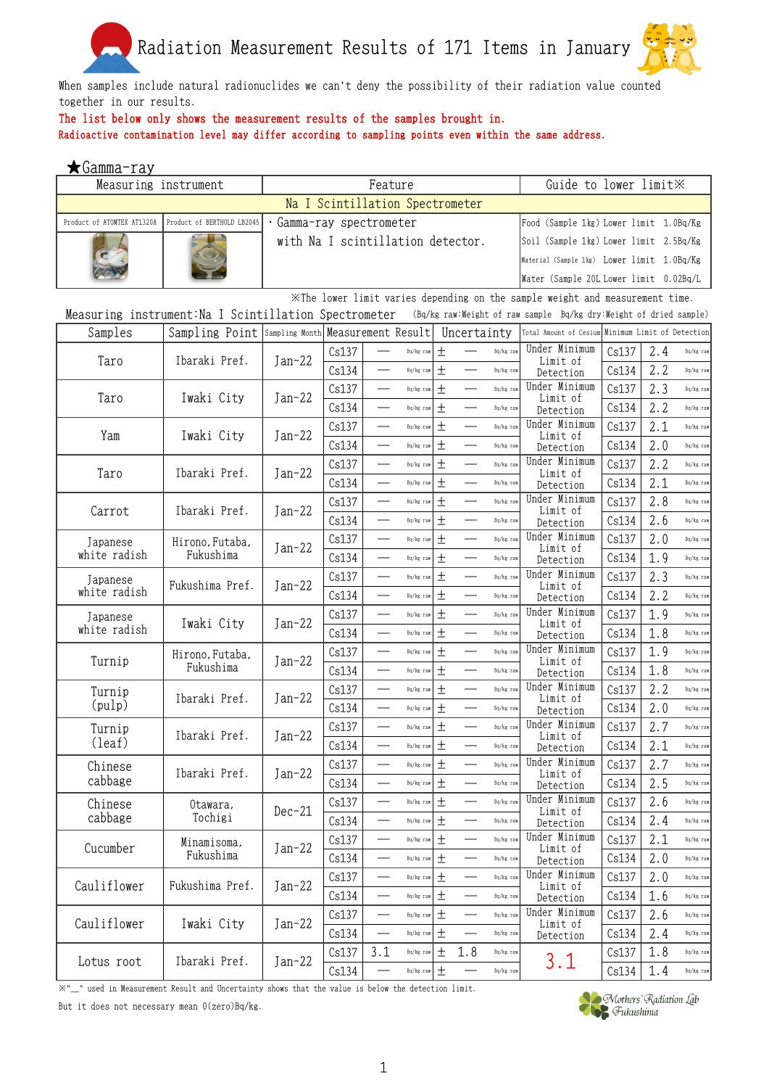

When samples include natural radionuclides we can't deny the possibility of their radiation value counted together in our results.

## The list below only shows the measurement results of the samples brought in.

Radioactive contamination level may differ according to sampling points even within the same address.

| ★Gamma-ray                 |                                                       |                                   |                                 |                          |           |        |                                 |           |                                                                                |       |     |           |
|----------------------------|-------------------------------------------------------|-----------------------------------|---------------------------------|--------------------------|-----------|--------|---------------------------------|-----------|--------------------------------------------------------------------------------|-------|-----|-----------|
| Measuring instrument       |                                                       |                                   |                                 | Guide to lower limit X   |           |        |                                 |           |                                                                                |       |     |           |
|                            |                                                       |                                   | Na I Scintillation Spectrometer |                          |           |        |                                 |           |                                                                                |       |     |           |
| Product of ATOMTEX AT1320A | Product of BERTHOLD LB2045                            | Gamma-ray spectrometer            |                                 |                          |           |        |                                 |           | Food (Sample 1kg) Lower limit 1.0Bq/Kg                                         |       |     |           |
|                            |                                                       | with Na I scintillation detector. |                                 |                          |           |        |                                 |           | Soil (Sample 1kg) Lower limit 2.5Bq/Kg                                         |       |     |           |
|                            |                                                       |                                   |                                 |                          |           |        |                                 |           | Material (Sample 1kg) Lower limit 1.0Bq/Kg                                     |       |     |           |
|                            |                                                       |                                   |                                 |                          |           |        |                                 |           | Water (Sample 20L Lower limit 0.02Bq/L                                         |       |     |           |
|                            |                                                       |                                   |                                 |                          |           |        |                                 |           | . XThe lower limit varies depending on the sample weight and measurement time. |       |     |           |
|                            | Measuring instrument: Na I Scintillation Spectrometer |                                   |                                 |                          |           |        |                                 |           | (Bq/kg raw:Weight of raw sample Bq/kg dry:Weight of dried sample)              |       |     |           |
| Samples                    | Sampling Point Sampling Month Measurement Result      |                                   |                                 |                          |           |        | Uncertainty                     |           | Total Amount of Cesium Minimum Limit of Detection                              |       |     |           |
|                            |                                                       |                                   | Cs137                           |                          | Bq/kg raw | $\pm$  |                                 | Bq/kg raw | Under Minimum                                                                  | Cs137 | 2.4 | Bq/kg raw |
| Taro                       | Ibaraki Pref.                                         | Jan-22                            | Cs134                           |                          | Bq/kg raw | 土      |                                 | Bq/kg raw | Limit of<br>Detection                                                          | Cs134 | 2.2 | Bq/kg raw |
|                            |                                                       |                                   | Cs137                           |                          | Bq/kg raw | 土      |                                 | Bq/kg raw | Under Minimum                                                                  | Cs137 | 2.3 | Bq/kg raw |
| Taro                       | Iwaki City                                            | Jan-22                            | Cs134                           |                          | Bq/kg raw | $\pm$  |                                 | Bq/kg raw | Limit of                                                                       | Cs134 | 2.2 | Bq/kg raw |
|                            |                                                       |                                   | Cs137                           |                          | Bq/kg raw | $\pm$  | $\overline{\phantom{0}}$        | Bq/kg rav | Detection<br>Under Minimum                                                     | Cs137 | 2.1 | Bq/kg raw |
| Yam                        | Iwaki City                                            | Jan-22                            |                                 | $\overline{\phantom{0}}$ |           | $\pm$  |                                 |           | Limit of                                                                       |       |     |           |
|                            |                                                       |                                   | Cs134                           |                          | Bq/kg raw |        |                                 | Bq/kg raw | Detection<br>Under Minimum                                                     | Cs134 | 2.0 | Bq/kg raw |
| Taro                       | Ibaraki Pref.                                         | Jan-22                            | Cs137                           |                          | Bq/kg raw | $\pm$  |                                 | Bq/kg raw | Limit of                                                                       | Cs137 | 2.2 | Bq/kg raw |
|                            |                                                       |                                   | Cs134                           |                          | Bq/kg raw | 土      |                                 | Bq/kg raw | Detection                                                                      | Cs134 | 2.1 | Bq/kg raw |
| Carrot                     | Ibaraki Pref.                                         | Jan-22                            | Cs137                           |                          | Bq/kg raw | 土      |                                 | Bq/kg raw | Under Minimum<br>Limit of                                                      | Cs137 | 2.8 | Bq/kg raw |
|                            |                                                       |                                   | Cs134                           |                          | Bq/kg raw | $\pm$  |                                 | Bq/kg raw | Detection                                                                      | Cs134 | 2.6 | Bq/kg raw |
| Japanese                   | Hirono, Futaba,                                       | Jan-22                            | Cs137                           | $\overline{\phantom{0}}$ | Bq/kg raw | $\pm$  |                                 | Bq/kg raw | Under Minimum<br>Limit of                                                      | Cs137 | 2.0 | Bq/kg raw |
| white radish               | Fukushima                                             |                                   | Cs134                           |                          | Bq/kg raw | $^{+}$ |                                 | Bq/kg raw | Detection                                                                      | Cs134 | 1.9 | Bq/kg raw |
| Japanese                   |                                                       |                                   | Cs137                           |                          | Bq/kg raw | $\pm$  |                                 | Bq/kg raw | Under Minimum                                                                  | Cs137 | 2.3 | Bq/kg raw |
| white radish               | Fukushima Pref.                                       | Jan-22                            | Cs134                           |                          | Bq/kg raw | $\pm$  |                                 | Bq/kg raw | Limit of<br>Detection                                                          | Cs134 | 2.2 | Bq/kg raw |
| Japanese                   |                                                       |                                   | Cs137                           |                          | Bq/kg raw | $\pm$  |                                 | Bq/kg raw | Under Minimum                                                                  | Cs137 | 1.9 | Bq/kg raw |
| white radish               | Iwaki City                                            | $Jan-22$                          | Cs134                           |                          | Bq/kg raw | $\pm$  |                                 | Bq/kg raw | Limit of<br>Detection                                                          | Cs134 | 1.8 | Bq/kg raw |
|                            | Hirono, Futaba,                                       |                                   | Cs137                           |                          | Bq/kg raw | $\pm$  |                                 | Bq/kg raw | Under Minimum                                                                  | Cs137 | 1.9 | Bq/kg raw |
| Turnip                     | Fukushima                                             | Jan-22                            | Cs134                           |                          | Bq/kg raw | $^{+}$ |                                 | Bq/kg raw | Limit of<br>Detection                                                          | Cs134 | 1.8 | Bq/kg raw |
| Turnip                     |                                                       |                                   | Cs137                           |                          | Bq/kg raw | $\pm$  |                                 | Bq/kg raw | Under Minimum                                                                  | Cs137 | 2.2 | Bq/kg raw |
| (pulp)                     | Ibaraki Pref.                                         | Jan-22                            | Cs134                           |                          | Bq/kg raw | $\pm$  |                                 | Bq/kg raw | Limit of<br>Detection                                                          | Cs134 | 2.0 | Bq/kg raw |
|                            |                                                       |                                   | Cs137                           |                          | Bq/kg raw | 土      |                                 | Bq/kg raw | Under Minimum                                                                  | Cs137 | 2.7 | Bq/kg raw |
| Turnip<br>(leaf)           | Ibaraki Pref.                                         | $Jan-22$                          | Cs134                           |                          | Bq/kg raw | 土      |                                 | Bq/kg raw | Limit of                                                                       | Cs134 | 2.1 | Bq/kg raw |
|                            |                                                       |                                   |                                 |                          |           |        |                                 |           | Detection<br>Under Minimum                                                     |       |     |           |
| Chinese<br>cabbage         | Ibaraki Pref.                                         | $Jan-22$                          | Cs137                           |                          | Bq/kg raw | $\pm$  |                                 | Bq/kg raw | Limit of                                                                       | Cs137 | 2.7 | Bq/kg raw |
|                            |                                                       |                                   | Cs134                           |                          | Bq/kg raw | 土      |                                 | Bq/kg raw | Detection                                                                      | Cs134 | 2.5 | Bq/kg raw |
| Chinese                    | Otawara,                                              | $Dec-21$                          | Cs137                           | $\overline{\phantom{0}}$ | Bq/kg raw | $\pm$  |                                 | Bq/kg raw | Under Minimum<br>Limit of                                                      | Cs137 | 2.6 | Bq/kg raw |
| cabbage                    | Tochigi                                               |                                   | Cs134                           |                          | Bq/kg raw | $\pm$  |                                 | Bq/kg raw | Detection                                                                      | Cs134 | 2.4 | Bq/kg raw |
| Cucumber                   | Minamisoma,                                           | $Jan-22$                          | Cs137                           | $\overline{\phantom{0}}$ | Bq/kg raw | $\pm$  | $\overbrace{\qquad \qquad }^{}$ | Bq/kg raw | Under Minimum<br>Limit of                                                      | Cs137 | 2.1 | Bq/kg raw |
|                            | Fukushima                                             |                                   | Cs134                           |                          | Bq/kg raw | $\pm$  |                                 | Bq/kg raw | Detection                                                                      | Cs134 | 2.0 | Bq/kg raw |
| Cauliflower                | Fukushima Pref.                                       |                                   | Cs137                           |                          | Bq/kg raw | $\pm$  |                                 | Bq/kg raw | Under Minimum<br>Limit of                                                      | Cs137 | 2.0 | Bq/kg raw |
|                            |                                                       | $Jan-22$                          | Cs134                           |                          | Bq/kg raw | $\pm$  |                                 | Bq/kg raw | Detection                                                                      | Cs134 | 1.6 | Bq/kg raw |
|                            |                                                       |                                   | Cs137                           |                          | Bq/kg raw | $\pm$  |                                 | Bq/kg rav | Under Minimum                                                                  | Cs137 | 2.6 | Bq/kg raw |
| Cauliflower                | Iwaki City                                            | $Jan-22$                          | Cs134                           |                          | Bq/kg raw | $\pm$  |                                 | Bq/kg raw | Limit of<br>Detection                                                          | Cs134 | 2.4 | Bq/kg raw |
|                            |                                                       |                                   | Cs137                           | 3.1                      | Bq/kg raw | 土      | 1.8                             | Bq/kg raw |                                                                                | Cs137 | 1.8 | Bq/kg raw |
| Lotus root                 | Ibaraki Pref.                                         | $Jan-22$                          | Cs134                           |                          | Bq/kg raw | 土      |                                 | Bq/kg raw | 3.1                                                                            | Cs134 | 1.4 | Bq/kg raw |

 $\mathbb{X}^{*}-$  used in Measurement Result and Uncertainty shows that the value is below the detection limit.

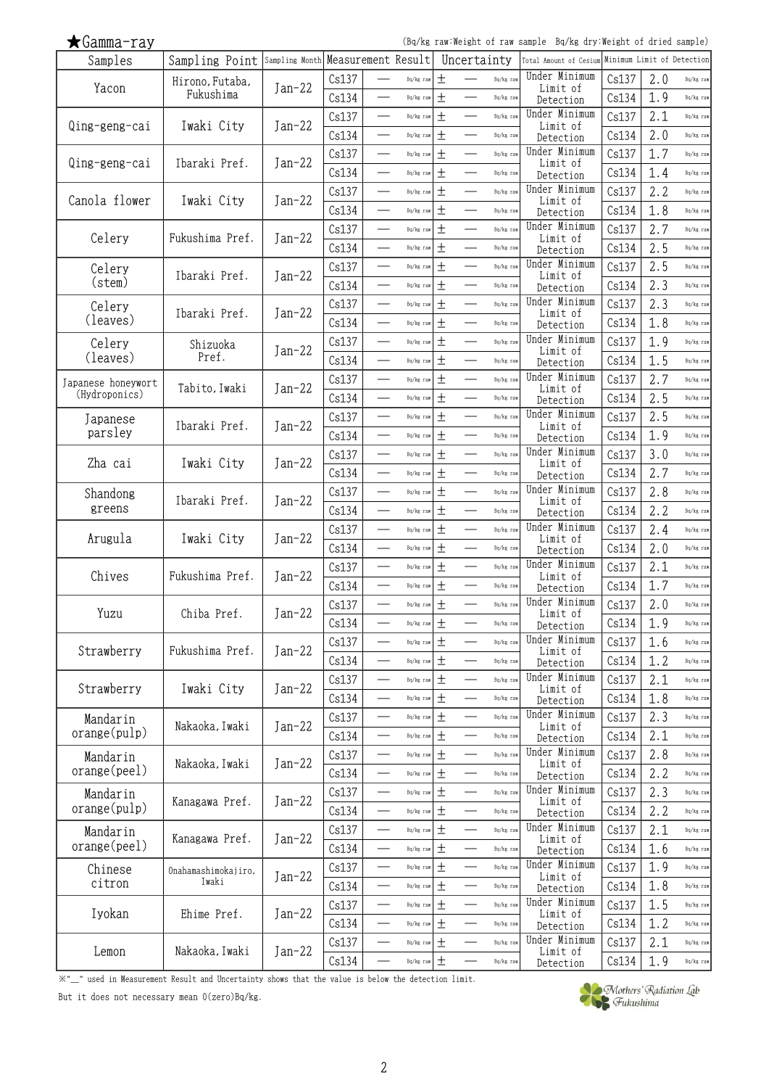(Bq/kg raw:Weight of raw sample Bq/kg dry:Weight of dried sample)

| Samples                             | Sampling Point Sampling Month Measurement Result |          |       |                          |           |        | Uncertainty                                  | Total Amount of Cesium     |       | Minimum Limit of Detection |           |
|-------------------------------------|--------------------------------------------------|----------|-------|--------------------------|-----------|--------|----------------------------------------------|----------------------------|-------|----------------------------|-----------|
| Yacon                               | Hirono, Futaba,                                  | $Jan-22$ | Cs137 |                          | Bq/kg raw | $^{+}$ | Bq/kg raw                                    | Under Minimum<br>Limit of  | Cs137 | 2.0                        | Bq/kg raw |
|                                     | Fukushima                                        |          | Cs134 |                          | Bq/kg raw | $\pm$  | Bq/kg raw                                    | Detection                  | Cs134 | 1.9                        | Bq/kg raw |
|                                     |                                                  |          | Cs137 |                          | Bq/kg raw | $\pm$  | $\overline{\phantom{0}}$<br>Bq/kg raw        | Under Minimum              | Cs137 | 2.1                        | Bq/kg raw |
| Qing-geng-cai                       | Iwaki City                                       | $Jan-22$ | Cs134 | $\qquad \qquad$          | Bq/kg raw | $\pm$  | Bq/kg raw                                    | Limit of<br>Detection      | Cs134 | 2.0                        | Bq/kg raw |
|                                     |                                                  |          | Cs137 | $\overline{\phantom{0}}$ | Bq/kg raw | $\pm$  | Bq/kg raw                                    | Under Minimum              | Cs137 | 1.7                        | Bq/kg raw |
| Qing-geng-cai                       | Ibaraki Pref.                                    | $Jan-22$ | Cs134 | $\overline{\phantom{0}}$ |           | 土      | $\overline{\phantom{0}}$<br>Bq/kg raw        | Limit of                   | Cs134 | 1.4                        | Bq/kg raw |
|                                     |                                                  |          |       |                          | Bq/kg raw |        |                                              | Detection<br>Under Minimum |       |                            |           |
| Canola flower                       | Iwaki City                                       | $Jan-22$ | Cs137 | $\overline{\phantom{0}}$ | Bq/kg raw | $\pm$  | $\overline{\phantom{0}}$<br>Bq/kg raw        | Limit of                   | Cs137 | 2.2                        | Bq/kg raw |
|                                     |                                                  |          | Cs134 |                          | Bq/kg raw | $\pm$  | Bq/kg raw                                    | Detection                  | Cs134 | 1.8                        | Bq/kg raw |
| Celery                              | Fukushima Pref.                                  | $Jan-22$ | Cs137 |                          | Bq/kg raw | $\pm$  | $\overline{\phantom{0}}$<br>Bq/kg raw        | Under Minimum<br>Limit of  | Cs137 | 2.7                        | Bq/kg raw |
|                                     |                                                  |          | Cs134 | $\overline{\phantom{0}}$ | Bq/kg raw | $\pm$  | Bq/kg raw                                    | Detection                  | Cs134 | 2.5                        | Bq/kg raw |
| Celery                              | Ibaraki Pref.                                    | $Jan-22$ | Cs137 |                          | Bq/kg raw | $\pm$  | Bq/kg raw                                    | Under Minimum<br>Limit of  | Cs137 | 2.5                        | Bq/kg raw |
| (stem)                              |                                                  |          | Cs134 | $\sim$                   | Bq/kg raw | $\pm$  | $\overline{\phantom{0}}$<br>Bq/kg raw        | Detection                  | Cs134 | 2.3                        | Bq/kg raw |
| Celery                              |                                                  |          | Cs137 | $\overline{\phantom{0}}$ | Bq/kg raw | $\pm$  | $\overline{\phantom{0}}$<br>Bq/kg raw        | Under Minimum              | Cs137 | 2.3                        | Bq/kg raw |
| (leaves)                            | Ibaraki Pref.                                    | $Jan-22$ | Cs134 | $\overline{\phantom{0}}$ | Bq/kg raw | $\pm$  | $\overline{\phantom{0}}$<br>Bq/kg raw        | Limit of<br>Detection      | Cs134 | 1.8                        | Bq/kg raw |
| Celery                              | Shizuoka                                         |          | Cs137 |                          | Bq/kg raw | $\pm$  | Bq/kg raw                                    | Under Minimum              | Cs137 | 1.9                        | Bq/kg raw |
| (leaves)                            | Pref.                                            | $Jan-22$ | Cs134 | ÷,                       | Bq/kg raw | $\pm$  | $\overline{\phantom{0}}$<br>Bq/kg raw        | Limit of                   | Cs134 | 1.5                        | Bq/kg raw |
|                                     |                                                  |          |       | $\overline{\phantom{a}}$ |           |        | $\equiv$                                     | Detection<br>Under Minimum |       |                            |           |
| Japanese honeywort<br>(Hydroponics) | Tabito, Iwaki                                    | $Jan-22$ | Cs137 |                          | Bq/kg raw | $\pm$  | Bq/kg raw                                    | Limit of                   | Cs137 | 2.7                        | Bq/kg raw |
|                                     |                                                  |          | Cs134 |                          | Bq/kg raw | $\pm$  | Bq/kg raw                                    | Detection                  | Cs134 | 2.5                        | Bq/kg raw |
| Japanese                            | Ibaraki Pref.                                    | $Jan-22$ | Cs137 | $\overline{\phantom{0}}$ | Bq/kg raw | 土      | Bq/kg raw                                    | Under Minimum<br>Limit of  | Cs137 | 2.5                        | Bq/kg raw |
| parsley                             |                                                  |          | Cs134 |                          | Bq/kg raw | $\pm$  | Bq/kg raw                                    | Detection                  | Cs134 | 1.9                        | Bq/kg raw |
|                                     |                                                  |          | Cs137 |                          | Bq/kg raw | $\pm$  | Bq/kg raw                                    | Under Minimum              | Cs137 | 3.0                        | Bq/kg raw |
| Zha cai                             | Iwaki City                                       | $Jan-22$ | Cs134 | $\sim$                   | Bq/kg raw | $\pm$  | $\overline{\phantom{0}}$<br>Bq/kg raw        | Limit of<br>Detection      | Cs134 | 2.7                        | Bq/kg raw |
| Shandong                            |                                                  |          | Cs137 | —<br>——                  | Bq/kg raw | 土      | $\overline{\phantom{0}}$<br>Bq/kg raw        | Under Minimum              | Cs137 | 2.8                        | Bq/kg raw |
| greens                              | Ibaraki Pref.                                    | $Jan-22$ | Cs134 | <u>e a</u>               | Bq/kg raw | $\pm$  | $\equiv$<br>Bq/kg raw                        | Limit of<br>Detection      | Cs134 | 2.2                        | Bq/kg raw |
|                                     |                                                  |          | Cs137 | $\overline{\phantom{a}}$ | Bq/kg raw | 土      | $\overline{\phantom{0}}$<br>Bq/kg raw        | Under Minimum              | Cs137 | 2.4                        | Bq/kg raw |
| Arugula                             | Iwaki City                                       | Jan-22   | Cs134 | $\overline{\phantom{a}}$ | Bq/kg raw | $\pm$  | $\overline{\phantom{0}}$<br>Bq/kg raw        | Limit of                   | Cs134 | 2.0                        | Bq/kg raw |
|                                     |                                                  |          |       |                          |           |        |                                              | Detection<br>Under Minimum |       |                            |           |
| Chives                              | Fukushima Pref.                                  | $Jan-22$ | Cs137 |                          | Bq/kg raw | $\pm$  | Bq/kg raw                                    | Limit of                   | Cs137 | 2.1                        | Bq/kg raw |
|                                     |                                                  |          | Cs134 | $\overline{\phantom{0}}$ | Bq/kg raw | $\pm$  | Bq/kg raw                                    | Detection                  | Cs134 | 1.7                        | Bq/kg raw |
| Yuzu                                | Chiba Pref.                                      | $Jan-22$ | Cs137 | $\overline{\phantom{a}}$ | Bq/kg raw | $\pm$  | Bq/kg raw                                    | Under Minimum<br>Limit of  | Cs137 | 2.0                        | Bq/kg raw |
|                                     |                                                  |          | Cs134 |                          | Bq/kg raw | 土      | Bq/kg raw                                    | Detection                  | Cs134 | 1.9                        | Bq/kg raw |
|                                     | Fukushima Pref.                                  |          | Cs137 |                          | Bq/kg raw | 土      | Bq/kg raw                                    | Under Minimum<br>Limit of  | Cs137 | 1.6                        | Bq/kg raw |
| Strawberry                          |                                                  | Jan-22   | Cs134 |                          | Bq/kg raw | $\pm$  | Bq/kg raw                                    | Detection                  | Cs134 | 1.2                        | Bq/kg raw |
|                                     |                                                  |          | Cs137 |                          | Bq/kg raw | $\pm$  | $\overline{\phantom{0}}$<br>Bq/kg raw        | Under Minimum              | Cs137 | 2.1                        | Bq/kg raw |
| Strawberry                          | Iwaki City                                       | $Jan-22$ | Cs134 |                          | Bq/kg raw | $\pm$  | Bq/kg raw                                    | Limit of<br>Detection      | Cs134 | 1.8                        | Bq/kg raw |
| Mandarin                            |                                                  |          | Cs137 | $\overline{\phantom{0}}$ | Bq/kg raw | $\pm$  | Bq/kg raw<br>$\overline{\phantom{0}}$        | Under Minimum              | Cs137 | 2.3                        | Bq/kg raw |
| orange(pulp)                        | Nakaoka, Iwaki                                   | $Jan-22$ | Cs134 | —                        | Bq/kg raw | $\pm$  | $\overline{\phantom{0}}$<br>Bq/kg raw        | Limit of                   | Cs134 | 2.1                        | Bq/kg raw |
|                                     |                                                  |          |       |                          |           |        |                                              | Detection<br>Under Minimum |       |                            |           |
| Mandarin<br>orange(peel)            | Nakaoka, Iwaki                                   | Jan-22   | Cs137 |                          | Bq/kg raw | 土      | Bq/kg raw                                    | Limit of                   | Cs137 | 2.8                        | Bq/kg raw |
|                                     |                                                  |          | Cs134 | $\overline{\phantom{0}}$ | Bq/kg raw | $\pm$  | Bq/kg raw                                    | Detection                  | Cs134 | 2.2                        | Bq/kg raw |
| Mandarin                            | Kanagawa Pref.                                   | $Jan-22$ | Cs137 |                          | Bq/kg raw | $\pm$  | Bq/kg raw                                    | Under Minimum<br>Limit of  | Cs137 | 2.3                        | Bq/kg raw |
| orange(pulp)                        |                                                  |          | Cs134 | —<br>—                   | Bq/kg raw | $\pm$  | $\overbrace{\qquad \qquad }^{}$<br>Bq/kg raw | Detection                  | Cs134 | 2.2                        | Bq/kg raw |
| Mandarin                            |                                                  |          | Cs137 | $\overline{\phantom{0}}$ | Bq/kg raw | $\pm$  | $\overline{\phantom{0}}$<br>Bq/kg raw        | Under Minimum              | Cs137 | 2.1                        | Bq/kg raw |
| orange(peel)                        | Kanagawa Pref.                                   | $Jan-22$ | Cs134 |                          | Bq/kg raw | $\pm$  | Bq/kg raw                                    | Limit of<br>Detection      | Cs134 | 1.6                        | Bq/kg raw |
| Chinese                             | Onahamashimokajiro.                              |          | Cs137 |                          | Bq/kg raw | $\pm$  | $\overline{\phantom{0}}$<br>Bq/kg raw        | Under Minimum              | Cs137 | 1.9                        | Bq/kg raw |
| citron                              | Iwaki                                            | $Jan-22$ | Cs134 |                          | Bq/kg raw | $\pm$  | Bq/kg raw                                    | Limit of<br>Detection      | Cs134 | 1.8                        | Bq/kg raw |
|                                     |                                                  |          | Cs137 | —<br>——                  | Bq/kg raw | $\pm$  | $\overline{\phantom{0}}$<br>Bq/kg raw        | Under Minimum              | Cs137 | 1.5                        | Bq/kg raw |
| Iyokan                              | Ehime Pref.                                      | $Jan-22$ |       |                          |           | $\pm$  |                                              | Limit of                   |       |                            |           |
|                                     |                                                  |          | Cs134 |                          | Bq/kg raw |        | Bq/kg raw                                    | Detection<br>Under Minimum | Cs134 | 1.2                        | Bq/kg raw |
| Lemon                               | Nakaoka, Iwaki                                   | $Jan-22$ | Cs137 |                          | Bq/kg raw | $\pm$  | $\overline{\phantom{0}}$<br>Bq/kg raw        | Limit of                   | Cs137 | 2.1                        | Bq/kg raw |
|                                     |                                                  |          | Cs134 |                          | Bq/kg raw | $\pm$  | Bq/kg raw                                    | Detection                  | Cs134 | 1.9                        | Bq/kg raw |

※"\_" used in Measurement Result and Uncertainty shows that the value is below the detection limit.

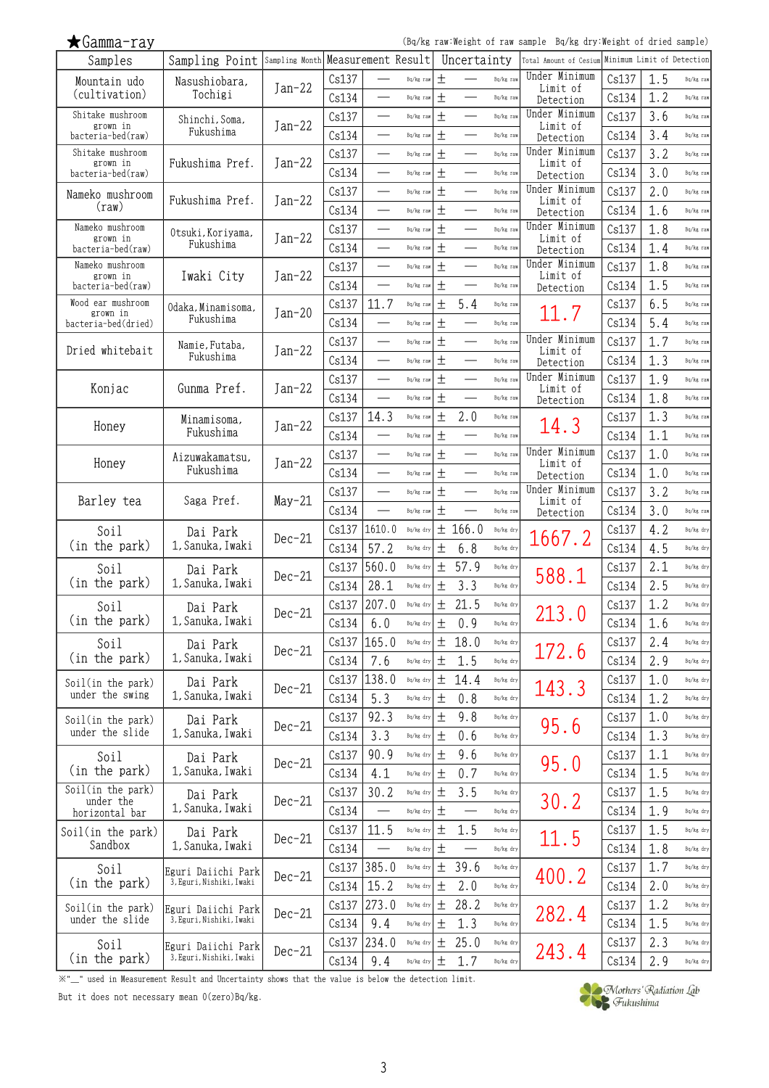(Bq/kg raw:Weight of raw sample Bq/kg dry:Weight of dried sample)

| Samples                              | Sampling Point Sampling Month Measurement Result |          |               |                          |           |       | Uncertainty              |           | Total Amount of Cesium    |       | Minimum Limit of Detection |           |
|--------------------------------------|--------------------------------------------------|----------|---------------|--------------------------|-----------|-------|--------------------------|-----------|---------------------------|-------|----------------------------|-----------|
| Mountain udo                         | Nasushiobara,                                    | $Jan-22$ | Cs137         |                          | Bq/kg raw | $+$   |                          | Bq/kg raw | Under Minimum<br>Limit of | Cs137 | 1.5                        | Bq/kg raw |
| (cultivation)                        | Tochigi                                          |          | Cs134         |                          | Bq/kg raw | 土     |                          | Bq/kg raw | Detection                 | Cs134 | 1.2                        | Bq/kg raw |
| Shitake mushroom                     | Shinchi, Soma,                                   |          | Cs137         |                          | Bq/kg raw | $\pm$ |                          | Bq/kg raw | Under Minimum             | Cs137 | 3.6                        | Bq/kg raw |
| grown in<br>bacteria-bed(raw)        | Fukushima                                        | $Jan-22$ | Cs134         |                          | Bq/kg raw | 土     |                          | Bq/kg raw | Limit of<br>Detection     | Cs134 | 3.4                        | Bq/kg raw |
| Shitake mushroom                     |                                                  |          | Cs137         | $\overline{\phantom{0}}$ | Bq/kg raw | $\pm$ | $\overline{\phantom{0}}$ | Bq/kg raw | Under Minimum             | Cs137 | 3.2                        | Bq/kg raw |
| grown in<br>bacteria-bed(raw)        | Fukushima Pref.                                  | $Jan-22$ | Cs134         |                          | Bq/kg raw | 土     |                          | Bq/kg raw | Limit of<br>Detection     | Cs134 | 3.0                        | Bq/kg raw |
| Nameko mushroom                      |                                                  |          | Cs137         | ÷,                       | Bq/kg raw | $\pm$ |                          | Bq/kg raw | Under Minimum             | Cs137 | 2.0                        | Bq/kg raw |
| $(\text{raw})$                       | Fukushima Pref.                                  | $Jan-22$ | Cs134         |                          | Bq/kg raw | $\pm$ |                          | Bq/kg raw | Limit of<br>Detection     | Cs134 | 1.6                        | Bq/kg raw |
| Nameko mushroom                      |                                                  |          | Cs137         | ÷,                       | Bq/kg raw | $\pm$ |                          | Bq/kg raw | Under Minimum             | Cs137 | 1.8                        | Bq/kg raw |
| grown in<br>bacteria-bed(raw)        | Otsuki, Koriyama,<br>Fukushima                   | $Jan-22$ | Cs134         |                          | Bq/kg raw | $\pm$ |                          | Bq/kg raw | Limit of<br>Detection     | Cs134 | 1.4                        | Bq/kg raw |
| Nameko mushroom                      |                                                  |          | Cs137         |                          | Bq/kg raw | 土     |                          | Bq/kg raw | Under Minimum             | Cs137 | 1.8                        | Bq/kg raw |
| grown in<br>bacteria-bed(raw)        | Iwaki City                                       | Jan-22   | Cs134         | $\overline{\phantom{0}}$ | Bq/kg raw | $\pm$ | $\overline{\phantom{0}}$ | Bq/kg raw | Limit of                  | Cs134 | 1.5                        | Bq/kg raw |
| Wood ear mushroom                    |                                                  |          | Cs137         | 11.7                     | Bq/kg raw | 土     | 5.4                      | Bq/kg raw | Detection                 | Cs137 | 6.5                        | Bq/kg raw |
| grown in                             | Odaka, Minamisoma,<br>Fukushima                  | $Jan-20$ | Cs134         |                          | Bq/kg raw | $\pm$ |                          | Bq/kg raw | 11.7                      | Cs134 | 5.4                        | Bq/kg raw |
| bacteria-bed(dried)                  |                                                  |          |               |                          |           |       |                          |           | Under Minimum             |       |                            |           |
| Dried whitebait                      | Namie, Futaba,<br>Fukushima                      | $Jan-22$ | Cs137         |                          | Bq/kg raw | $\pm$ |                          | Bq/kg raw | Limit of                  | Cs137 | 1.7                        | Bq/kg raw |
|                                      |                                                  |          | Cs134         |                          | Bq/kg raw | 土     |                          | Bq/kg raw | Detection                 | Cs134 | 1.3                        | Bq/kg raw |
| Konjac                               | Gunma Pref.                                      | $Jan-22$ | Cs137         | $\overline{\phantom{0}}$ | Bq/kg raw | $\pm$ | $\overline{\phantom{0}}$ | Bq/kg raw | Under Minimum<br>Limit of | Cs137 | 1.9                        | Bq/kg raw |
|                                      |                                                  |          | Cs134         |                          | Bq/kg raw | 土     |                          | Bq/kg raw | Detection                 | Cs134 | 1.8                        | Bq/kg raw |
| Honey                                | Minamisoma,                                      | $Jan-22$ | Cs137         | 14.3                     | Bq/kg raw | 土     | 2.0                      | Bq/kg raw | 14.3                      | Cs137 | 1.3                        | Bq/kg raw |
|                                      | Fukushima                                        |          | Cs134         |                          | Bq/kg raw | 土     |                          | Bq/kg raw |                           | Cs134 | 1.1                        | Bq/kg raw |
| Honey                                | Aizuwakamatsu,                                   | $Jan-22$ | Cs137         |                          | Bq/kg raw | 土     |                          | Bq/kg raw | Under Minimum<br>Limit of | Cs137 | 1.0                        | Bq/kg raw |
|                                      | Fukushima                                        |          | Cs134         |                          | Bq/kg raw | 土     |                          | Bq/kg raw | Detection                 | Cs134 | 1.0                        | Bq/kg raw |
|                                      |                                                  |          | Cs137         |                          | Bq/kg raw | 土     |                          | Bq/kg raw | Under Minimum             | Cs137 | 3.2                        | Bq/kg raw |
| Barley tea                           | Saga Pref.                                       | $May-21$ | Cs134         | —                        | Bq/kg raw | $\pm$ |                          | Bq/kg raw | Limit of<br>Detection     | Cs134 | 3.0                        | Bq/kg raw |
| Soil                                 | Dai Park                                         |          | Cs137         | 1610.0                   | Bq/kg dry | 土     | 166.0                    | Bq/kg dry |                           | Cs137 | 4.2                        | Bq/kg dry |
| (in the park)                        | 1, Sanuka, Iwaki                                 | $Dec-21$ | Cs134         | 57.2                     | Bq/kg dry | $\pm$ | 6.8                      | Bq/kg dry | 1667.2                    | Cs134 | 4.5                        | Bq/kg dry |
| Soil                                 | Dai Park                                         |          | Cs137         | 560.0                    | Bq/kg dry | 土     | 57.9                     | Bq/kg dry |                           | Cs137 | 2.1                        | Bq/kg dry |
| (in the park)                        | 1, Sanuka, Iwaki                                 | $Dec-21$ | Cs134         | 28.1                     | Bq/kg dry | 土     | 3.3                      | Bq/kg dry | 588.1                     | Cs134 | 2.5                        | Bq/kg dry |
| Soil                                 | Dai Park                                         |          | Cs137         | 207.0                    | Bq/kg dry | 土     | 21.5                     | Bq/kg dry |                           | Cs137 | 1.2                        | Bq/kg dry |
| (in the park)                        | 1, Sanuka, Iwaki                                 | $Dec-21$ | Cs134         | 6.0                      | Bq/kg dry | 土     | 0.9                      | Bq/kg dry | 213.0                     | Cs134 | 1.6                        | Bq/kg dry |
| Soil                                 |                                                  |          | Cs137   165.0 |                          | Bq/kg dry | 土     | 18.0                     | Bq/kg dry |                           | Cs137 | 2.4                        | Bq/kg dry |
| (in the park)                        | Dai Park<br>1, Sanuka, Iwaki                     | $Dec-21$ | Cs134         | 7.6                      | Bq/kg dry | 土     | 1.5                      | Bq/kg dry | 172.6                     | Cs134 | 2.9                        | Bq/kg dry |
|                                      |                                                  |          | Cs137         | 138.0                    | Bq/kg dry | 土     | 14.4                     | Bq/kg dry |                           | Cs137 | 1.0                        | Bq/kg dry |
| Soil(in the park)<br>under the swing | Dai Park<br>1, Sanuka, Iwaki                     | $Dec-21$ |               | 5.3                      |           | 土     |                          | Bq/kg dry | 143.3                     |       |                            |           |
|                                      |                                                  |          | Cs134         |                          | Bq/kg dry |       | 0.8                      |           |                           | Cs134 | 1.2                        | Bq/kg dry |
| Soil(in the park)<br>under the slide | Dai Park<br>1, Sanuka, Iwaki                     | $Dec-21$ | Cs137         | 92.3                     | Bq/kg dry | 土     | 9.8                      | Bq/kg dry | 95.6                      | Cs137 | 1.0                        | Bq/kg dry |
|                                      |                                                  |          | Cs134         | 3.3                      | Bq/kg dry | 土     | 0.6                      | Bq/kg dry |                           | Cs134 | 1.3                        | Bq/kg dry |
| Soil                                 | Dai Park                                         | $Dec-21$ | Cs137         | 90.9                     | Bq/kg dry | 土     | 9.6                      | Bq/kg dry | 95.0                      | Cs137 | 1.1                        | Bq/kg dry |
| (in the park)                        | 1, Sanuka, Iwaki                                 |          | Cs134         | 4.1                      | Bq/kg dry | 土     | 0.7                      | Bq/kg dry |                           | Cs134 | 1.5                        | Bq/kg dry |
| Soil(in the park)<br>under the       | Dai Park                                         | $Dec-21$ | Cs137         | 30.2                     | Bq/kg dry | 土     | 3.5                      | Bq/kg dry | 30.2                      | Cs137 | 1.5                        | Bq/kg dry |
| horizontal bar                       | 1, Sanuka, Iwaki                                 |          | Cs134         |                          | Bq/kg dry | 土     |                          | Bq/kg dry |                           | Cs134 | 1.9                        | Bq/kg dry |
| Soil(in the park)                    | Dai Park                                         | $Dec-21$ | Cs137         | 11.5                     | Bq/kg dry | 土     | 1.5                      | Bq/kg dry | 11.5                      | Cs137 | 1.5                        | Bq/kg dry |
| Sandbox                              | 1, Sanuka, Iwaki                                 |          | Cs134         |                          | Bq/kg dry | 土     |                          | Bq/kg dry |                           | Cs134 | 1.8                        | Bq/kg dry |
| Soil                                 | Eguri Daiichi Park                               | $Dec-21$ |               | $Cs137$ 385.0            | Bq/kg dry | $\pm$ | 39.6                     | Bq/kg dry | 400.2                     | Cs137 | 1.7                        | Bq/kg dry |
| (in the park)                        | 3, Eguri, Nishiki, Iwaki                         |          | Cs134         | 15.2                     | Bq/kg dry | 土     | 2.0                      | Bq/kg dry |                           | Cs134 | 2.0                        | Bq/kg dry |
| Soil(in the park)                    | Eguri Daiichi Park                               | $Dec-21$ | Cs137         | 273.0                    | Bq/kg dry | 土     | 28.2                     | Bq/kg dry | 282.4                     | Cs137 | 1.2                        | Bq/kg dry |
| under the slide                      | 3, Eguri, Nishiki, Iwaki                         |          | Cs134         | 9.4                      | Bq/kg dry | 土     | 1.3                      | Bq/kg dry |                           | Cs134 | 1.5                        | Bq/kg dry |
| Soil                                 | Eguri Daiichi Park                               |          | Cs137         | 234.0                    | Bq/kg dry | 土     | 25.0                     | Bq/kg dry |                           | Cs137 | 2.3                        | Bq/kg dry |
| (in the park)                        | 3, Eguri, Nishiki, Iwaki                         | $Dec-21$ | Cs134         | 9.4                      | Bq/kg dry | 土     | 1.7                      | Bq/kg dry | 243.4                     | Cs134 | 2.9                        | Bq/kg dry |

※"\_" used in Measurement Result and Uncertainty shows that the value is below the detection limit.

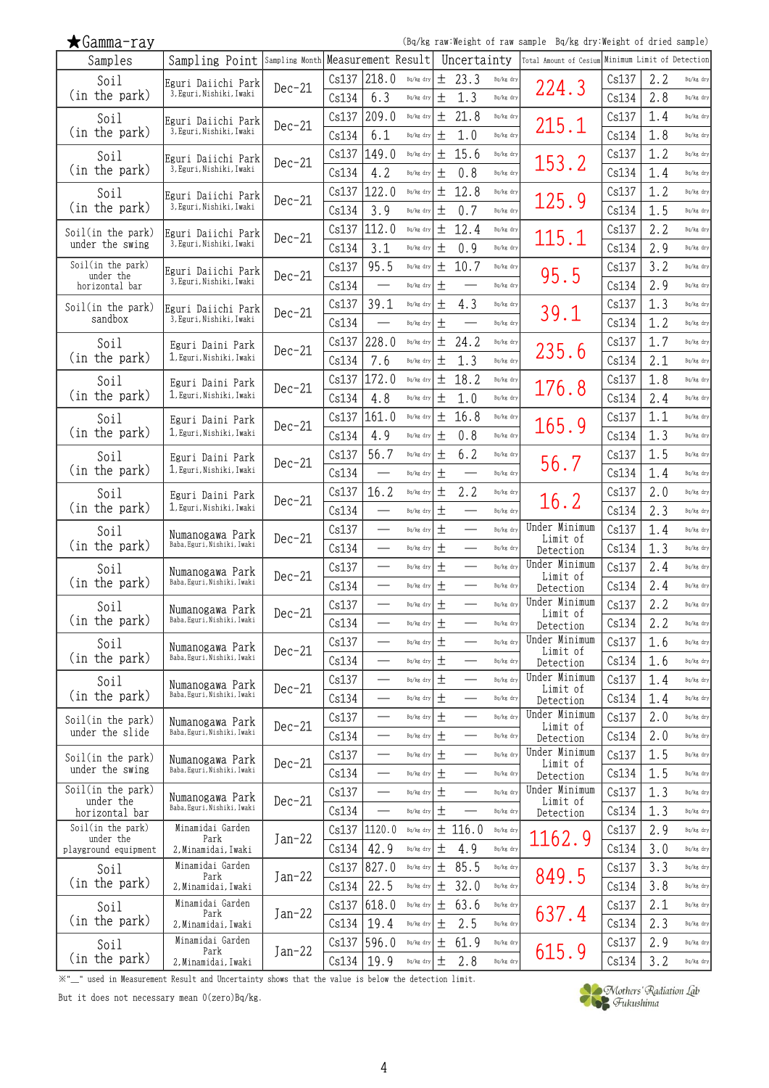| smmsu |  |
|-------|--|
|       |  |

(Bq/kg raw:Weight of raw sample Bq/kg dry:Weight of dried sample)

| Samples                              | Sampling Point                                 | Sampling Month Measurement Result |                |                          |                        |                    | Uncertainty              |                        | Total Amount of Cesium     | Minimum Limit of Detection |            |                        |
|--------------------------------------|------------------------------------------------|-----------------------------------|----------------|--------------------------|------------------------|--------------------|--------------------------|------------------------|----------------------------|----------------------------|------------|------------------------|
| Soil                                 | Eguri Daiichi Park                             | $Dec-21$                          | Cs137          | 218.0                    | Bq/kg dry              | 土                  | 23.3                     | Bq/kg dry              |                            | Cs137                      | 2.2        | Bq/kg dry              |
| (in the park)                        | 3, Eguri, Nishiki, Iwaki                       |                                   | Cs134          | 6.3                      | Bq/kg dry              | 土                  | 1.3                      | Bq/kg dry              | 224.3                      | Cs134                      | 2.8        | Bq/kg dry              |
| Soil                                 | Eguri Daiichi Park                             | $Dec-21$                          | Cs137          | 209.0                    | Bq/kg dry              | 土                  | 21.8                     | Bq/kg dry              | 215.1                      | Cs137                      | 1.4        | Bq/kg dry              |
| (in the park)                        | 3, Eguri, Nishiki, Iwaki                       |                                   | Cs134          | 6.1                      | Bq/kg dry              | 土                  | 1.0                      | Bq/kg dry              |                            | Cs134                      | 1.8        | Bq/kg dry              |
| Soil                                 | Eguri Daiichi Park                             | $Dec-21$                          | Cs137          | 149.0                    | Bq/kg dry              | 土                  | 15.6                     | Bq/kg dry              | 153.2                      | Cs137                      | 1.2        | Bq/kg dry              |
| (in the park)                        | 3, Eguri, Nishiki, Iwaki                       |                                   | Cs134          | 4.2                      | Bq/kg dry              | 土                  | 0.8                      | Bq/kg dry              |                            | Cs134                      | 1.4        | Bq/kg dry              |
| Soil                                 | Eguri Daiichi Park                             | $Dec-21$                          | Cs137          | 122.0                    | Bq/kg dry              | 土                  | 12.8                     | Bq/kg dry              | 125.9                      | Cs137                      | 1.2        | Bq/kg dry              |
| (in the park)                        | 3, Eguri, Nishiki, Iwaki                       |                                   | Cs134          | 3.9                      | Bq/kg dry              | 土                  | 0.7                      | Bq/kg dry              |                            | Cs134                      | 1.5        | Bq/kg dry              |
| Soil(in the park)                    | Eguri Daiichi Park                             | $Dec-21$                          | Cs137          | 112.0                    | Bq/kg dry              | 土                  | 12.4                     | Bq/kg dry              | 115.1                      | Cs137                      | 2.2        | Bq/kg dry              |
| under the swing                      | 3, Eguri, Nishiki, Iwaki                       |                                   | Cs134          | 3.1                      | Bq/kg dry              | 土                  | 0.9                      | Bq/kg dry              |                            | Cs134                      | 2.9        | Bq/kg dry              |
| Soil(in the park)<br>under the       | Eguri Daiichi Park                             | $Dec-21$                          | Cs137          | 95.5                     | Bq/kg dry              | 土                  | 10.7                     | Bq/kg dry              | 95.5                       | Cs137                      | 3.2        | Bq/kg dry              |
| horizontal bar                       | 3, Eguri, Nishiki, Iwaki                       |                                   | Cs134          | $\qquad \qquad$          | Bq/kg dry              | 土                  |                          | Bq/kg dry              |                            | Cs134                      | 2.9        | Bq/kg dry              |
| Soil(in the park)                    | Eguri Daiichi Park                             | $Dec-21$                          | Cs137          | 39.1                     | Bq/kg dry              | 土                  | 4.3                      | Bq/kg dry              | 39.1                       | Cs137                      | 1.3        | Bq/kg dry              |
| sandbox                              | 3, Eguri, Nishiki, Iwaki                       |                                   | Cs134          |                          | Bq/kg dry              | $\hspace{0.1mm} +$ |                          | Bq/kg dry              |                            | Cs134                      | 1.2        | Bq/kg dry              |
| Soil                                 | Eguri Daini Park                               | $Dec-21$                          | Cs137          | 228.0                    | Bq/kg dry              | 土                  | 24.2                     | Bq/kg dry              | 235.6                      | Cs137                      | 1.7        | Bq/kg dry              |
| (in the park)                        | 1. Eguri. Nishiki. Iwaki                       |                                   | Cs134          | 7.6                      | Bq/kg dry              | 土                  | 1.3                      | Bq/kg dry              |                            | Cs134                      | 2.1        | Bq/kg dry              |
| Soil                                 | Eguri Daini Park                               | $Dec-21$                          | Cs137          | 172.0                    | Bq/kg dry              | 土                  | 18.2                     | Bq/kg dry              | 176.8                      | Cs137                      | 1.8        | Bq/kg dry              |
| (in the park)                        | 1. Eguri. Nishiki. Iwaki                       |                                   | Cs134          | 4.8                      | Bq/kg dry              | 土                  | 1.0                      | Bq/kg dry              |                            | Cs134                      | 2.4        | Bq/kg dry              |
| Soil                                 | Eguri Daini Park                               | $Dec-21$                          | Cs137          | 161.0                    | Bq/kg dry              | 土                  | 16.8                     | Bq/kg dry              | 165.9                      | Cs137                      | 1.1        | Bq/kg dry              |
| (in the park)                        | 1, Eguri, Nishiki, Iwaki                       |                                   | Cs134          | 4.9                      | Bq/kg dry              | 土                  | 0.8                      | Bq/kg dry              |                            | Cs134                      | 1.3        | Bq/kg dry              |
| Soil                                 | Eguri Daini Park<br>1, Eguri, Nishiki, Iwaki   | $Dec-21$                          | Cs137          | 56.7                     | Bq/kg dry              | 土                  | 6.2                      | Bq/kg dry              | 56.7                       | Cs137                      | 1.5        | Bq/kg dry              |
| (in the park)                        |                                                |                                   | Cs134          | $\overline{\phantom{0}}$ | Bq/kg dry              | 土                  |                          | Bq/kg dry              |                            | Cs134                      | 1.4        | Bq/kg dry              |
| Soil<br>(in the park)                | Eguri Daini Park<br>1, Eguri, Nishiki, Iwaki   | $Dec-21$                          | Cs137          | 16.2                     | Bq/kg dry              | 土                  | 2.2                      | Bq/kg dry              | 16.2                       | Cs137                      | 2.0        | Bq/kg dry              |
|                                      |                                                |                                   | Cs134          |                          | Bq/kg dry              | 土                  |                          | Bq/kg dry              | Under Minimum              | Cs134                      | 2.3        | Bq/kg dry              |
| Soil<br>(in the park)                | Numanogawa Park<br>Baba, Eguri, Nishiki, Iwaki | $Dec-21$                          | Cs137          |                          | Bq/kg dry              | $\,^+$             |                          | Bq/kg dry              | Limit of                   | Cs137                      | 1.4        | Bq/kg dry              |
|                                      |                                                |                                   | Cs134          | $\overline{\phantom{0}}$ | Bq/kg dry              | 土                  | $\overline{\phantom{0}}$ | Bq/kg dry              | Detection<br>Under Minimum | Cs134                      | 1.3        | Bq/kg dry              |
| Soil<br>(in the park)                | Numanogawa Park<br>Baba, Eguri, Nishiki, Iwaki | $Dec-21$                          | Cs137          | —<br>—                   | Bq/kg dry<br>Bq/kg dry | 土<br>$^+$          |                          | Bq/kg dry<br>Bq/kg dry | Limit of                   | Cs137                      | 2.4<br>2.4 | Bq/kg dry<br>Bq/kg dry |
|                                      |                                                |                                   | Cs134<br>Cs137 |                          | Bq/kg dry              | 土                  |                          | Bq/kg dry              | Detection<br>Under Minimum | Cs134<br>Cs137             | 2.2        | Bq/kg dry              |
| Soil<br>(in the park)                | Numanogawa Park<br>Baba, Eguri, Nishiki, Iwaki | $Dec-21$                          | Cs134          |                          | Bq/kg dry              | $\pm$              |                          | Bq/kg dry              | Limit of                   | Cs134                      | 2.2        | Bq/kg dry              |
|                                      |                                                |                                   | Cs137          | $\overline{\phantom{0}}$ | Bq/kg dry              | 土                  |                          | Bq/kg dry              | Detection<br>Under Minimum | Cs137                      | 1.6        | Bq/kg dry              |
| Soil<br>(in the park)                | Numanogawa Park<br>Baba, Eguri, Nishiki, Iwaki | $Dec-21$                          | Cs134          |                          | Bq/kg dry              | 土                  |                          | Bq/kg dry              | Limit of                   | Cs134                      | 1.6        | Bq/kg dry              |
| Soil                                 |                                                |                                   | Cs137          |                          | Bq/kg dry              | $\pm$              |                          | Bq/kg dry              | Detection<br>Under Minimum | Cs137                      | 1.4        | Bq/kg dry              |
| (in the park)                        | Numanogawa Park<br>Baba, Eguri, Nishiki, Iwaki | $Dec-21$                          | Cs134          |                          | Bq/kg dry              | 土                  |                          | Bq/kg dry              | Limit of<br>Detection      | Cs134                      | 1.4        | Bq/kg dry              |
|                                      |                                                |                                   | Cs137          |                          | Bq/kg dry              | 土                  |                          | Bq/kg dry              | Under Minimum              | Cs137                      | 2.0        | Bq/kg dry              |
| Soil(in the park)<br>under the slide | Numanogawa Park<br>Baba, Eguri, Nishiki, Iwaki | $Dec-21$                          | Cs134          |                          | Bq/kg dry              | 土                  |                          | Bq/kg dry              | Limit of<br>Detection      | Cs134                      | 2.0        | Bq/kg dry              |
| Soil(in the park)                    |                                                |                                   | Cs137          | $\overline{\phantom{0}}$ | Bq/kg dry              | 土                  |                          | Bq/kg dry              | Under Minimum              | Cs137                      | 1.5        | Bq/kg dry              |
| under the swing                      | Numanogawa Park<br>Baba, Eguri, Nishiki, Iwaki | $Dec-21$                          | Cs134          | $\overline{\phantom{0}}$ | Bq/kg dry              | 土                  |                          | Bq/kg dry              | Limit of<br>Detection      | Cs134                      | 1.5        | Bq/kg dry              |
| Soil(in the park)                    |                                                |                                   | Cs137          |                          | Bq/kg dry              | 土                  |                          | Bq/kg dry              | Under Minimum              | Cs137                      | 1.3        | Bq/kg dry              |
| under the<br>horizontal bar          | Numanogawa Park<br>Baba, Eguri, Nishiki, Iwaki | $Dec-21$                          | Cs134          |                          | Bq/kg dry              | 土                  |                          | Bq/kg dry              | Limit of<br>Detection      | Cs134                      | 1.3        | Bq/kg dry              |
| Soil(in the park)                    | Minamidai Garden                               |                                   |                | Cs137 1120.0             | Bq/kg dry              |                    | ± 116.0                  | Bq/kg dry              |                            | Cs137                      | 2.9        | Bq/kg dry              |
| under the<br>playground equipment    | Park<br>2, Minamidai, Iwaki                    | $Jan-22$                          | Cs134          | 42.9                     | Bq/kg dry              | 土                  | 4.9                      | Bq/kg dry              | 1162.9                     | Cs134                      | 3.0        | Bq/kg dry              |
| Soil                                 | Minamidai Garden                               |                                   |                | $Cs137$ 827.0            | Bq/kg dry              | 土                  | 85.5                     | Bq/kg dry              |                            | Cs137                      | 3.3        | Bq/kg dry              |
| (in the park)                        | Park<br>2, Minamidai, Iwaki                    | $Jan-22$                          | Cs134          | 22.5                     | Bq/kg dry              | 土                  | 32.0                     | Bq/kg dry              | 849.5                      | Cs134                      | 3.8        | Bq/kg dry              |
| Soil                                 | Minamidai Garden                               |                                   | Cs137          | 618.0                    | Bq/kg dry              | 土                  | 63.6                     | Bq/kg dry              |                            | Cs137                      | 2.1        | Bq/kg dry              |
| (in the park)                        | Park<br>2. Minamidai. Iwaki                    | $Jan-22$                          | Cs134          | 19.4                     | Bq/kg dry              | 土                  | 2.5                      | Bq/kg dry              | 637.4                      | Cs134                      | 2.3        | Bq/kg dry              |
| Soil                                 | Minamidai Garden                               |                                   | Cs137          | 596.0                    | Bq/kg dry              | 土                  | 61.9                     | Bq/kg dry              |                            | Cs137                      | 2.9        | Bq/kg dry              |
| (in the park)                        | Park<br>2, Minamidai, Iwaki                    | $Jan-22$                          | Cs134          | 19.9                     | Bq/kg dry              | 土                  | 2.8                      | Bq/kg dry              | 615.9                      | Cs134                      | 3.2        | Bq/kg dry              |

※"\_" used in Measurement Result and Uncertainty shows that the value is below the detection limit.

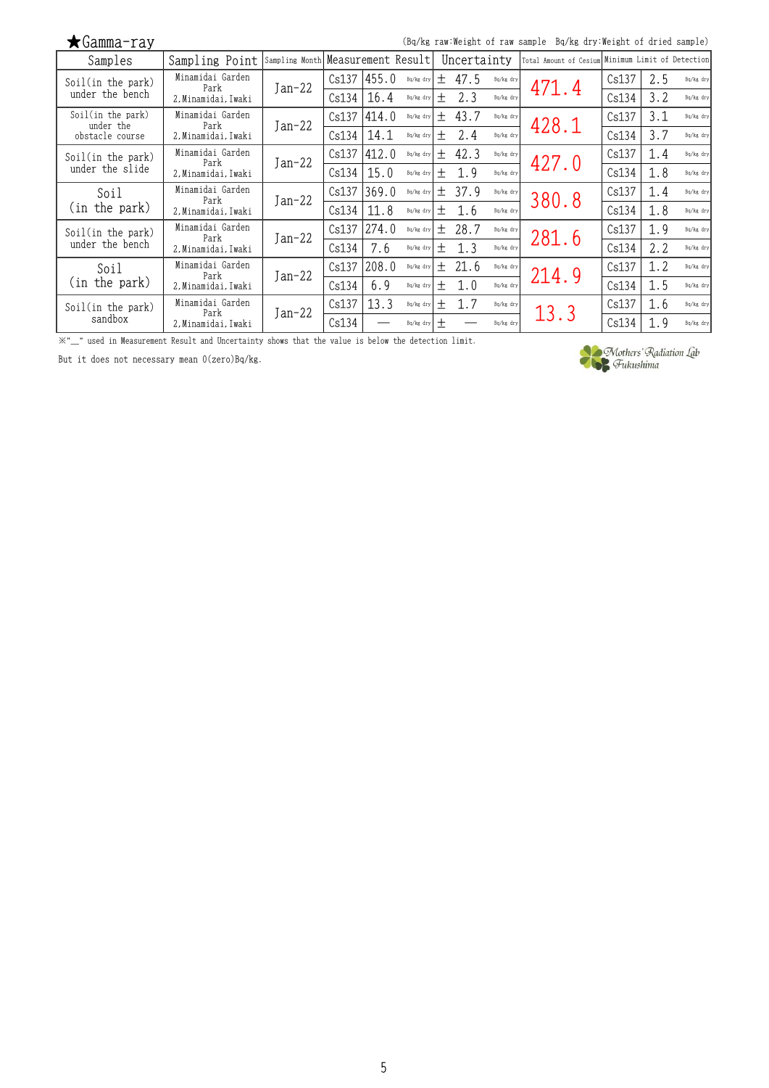| $\bigstar$ Gamma-ray           |                          |                                   |       |       |           |        |             |           | (Bq/kg raw:Weight of raw sample Bq/kg dry:Weight of dried sample) |       |     |           |
|--------------------------------|--------------------------|-----------------------------------|-------|-------|-----------|--------|-------------|-----------|-------------------------------------------------------------------|-------|-----|-----------|
| Samples                        | Sampling Point           | Sampling Month Measurement Result |       |       |           |        | Uncertainty |           | Total Amount of Cesium Minimum Limit of Detection                 |       |     |           |
| Soil(in the park)              | Minamidai Garden<br>Park | $Jan-22$                          | Cs137 | 455.0 | Bq/kg dry | $+$    | 47.5        | Bq/kg dry | 471.4                                                             | Cs137 | 2.5 | Bq/kg dry |
| under the bench                | 2. Minamidai. Iwaki      |                                   | Cs134 | 16.4  | Bq/kg dry | $^{+}$ | 2.3         | Bq/kg dry |                                                                   | Cs134 | 3.2 | Bq/kg dry |
| Soil(in the park)<br>under the | Minamidai Garden<br>Park |                                   | Cs137 | 414.0 | Bq/kg dry | $^{+}$ | 43.7        | Bq/kg dry | 428.1                                                             | Cs137 | 3.1 | Bq/kg dry |
| obstacle course                | 2. Minamidai. Iwaki      | $Jan-22$                          | Cs134 | 14.1  | Bq/kg dry | $^{+}$ | 2.4         | Bq/kg dry |                                                                   | Cs134 | 3.7 | Bq/kg dry |
| Soil(in the park)              | Minamidai Garden<br>Park | $Jan-22$                          | Cs137 | 412.0 | Bq/kg dry | $+$    | 42.3        | Bq/kg dry | 427.0                                                             | Cs137 | 1.4 | Bq/kg dry |
| under the slide                | 2, Minamidai, Iwaki      |                                   | Cs134 | 15.0  | Bq/kg dry | $^{+}$ | 1.9         | Bq/kg dry |                                                                   | Cs134 | 1.8 | Bq/kg dry |
| Soil                           | Minamidai Garden<br>Park | $Jan-22$                          | Cs137 | 369.0 | Bq/kg dry | $^{+}$ | 37.9        | Bq/kg dry | 380.8                                                             | Cs137 | 1.4 | Ba/kg drv |
| (in the park)                  | 2, Minamidai, Iwaki      |                                   | Cs134 | 11.8  | Bq/kg dry | $^{+}$ | 1.6         | Ba/kg dry |                                                                   | Cs134 | 1.8 | Bq/kg dry |
| Soil(in the park)              | Minamidai Garden<br>Park | $Jan-22$                          | Cs137 | 274.0 | Bq/kg dry | 土      | 28.7        | Bq/kg dry | 281.6                                                             | Cs137 | 1.9 | Bq/kg dry |
| under the bench                | 2, Minamidai, Iwaki      |                                   | Cs134 | 7.6   | Bq/kg dry | $^{+}$ | 1.3         | Bq/kg dry |                                                                   | Cs134 | 2.2 | Bq/kg dry |
| Soil                           | Minamidai Garden<br>Park | $Jan-22$                          | Cs137 | 208.0 | Bq/kg dry | 土      | 21.6        | Bq/kg dry | 214.9                                                             | Cs137 | 1.2 | Bq/kg dry |
| (in the park)                  | 2. Minamidai. Iwaki      |                                   | Cs134 | 6.9   | Bq/kg dry | $^{+}$ | 1.0         | Bq/kg dry |                                                                   | Cs134 | 1.5 | Bq/kg dry |
| Soil(in the park)              | Minamidai Garden<br>Park | $Jan-22$                          | Cs137 | 13.3  | Bq/kg dry | $^{+}$ | 1.7         | Bq/kg dry | 13.3                                                              | Cs137 | 1.6 | Bq/kg dry |
| sandbox                        | 2, Minamidai, Iwaki      |                                   | Cs134 |       | Bq/kg dry | $^{+}$ |             | Bq/kg dry |                                                                   | Cs134 | 1.9 | Bq/kg dry |

※"\_" used in Measurement Result and Uncertainty shows that the value is below the detection limit.

But it does not necessary mean 0(zero)Bq/kg.

J,

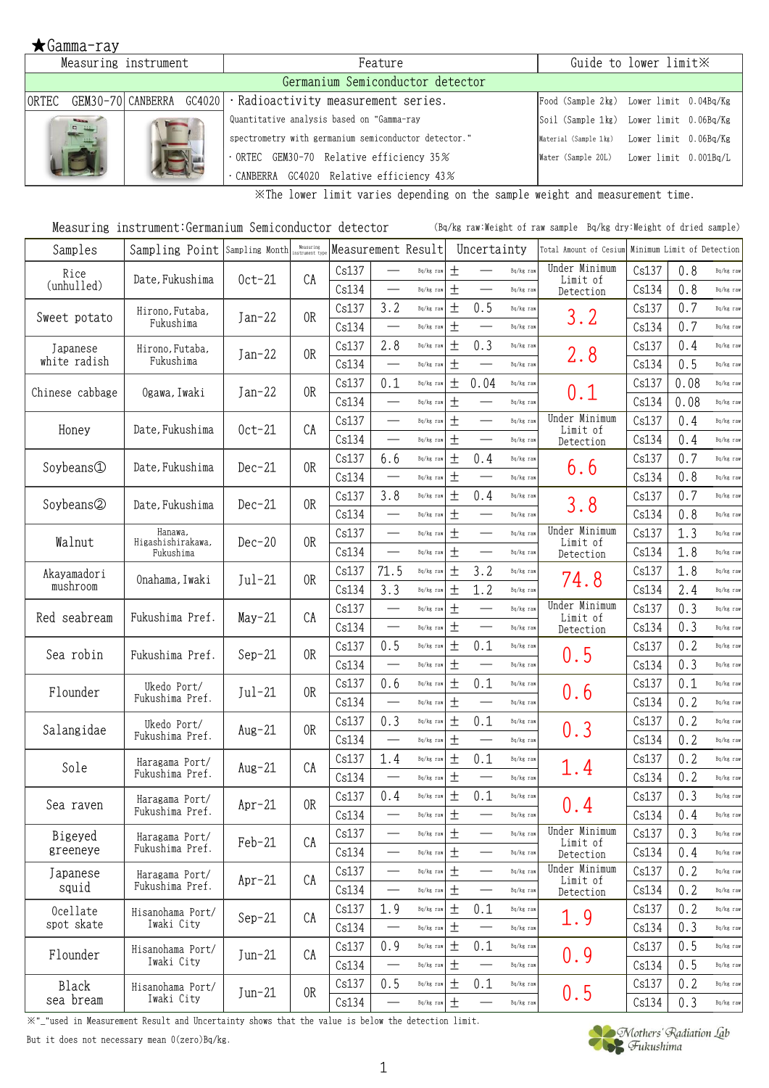|        | Measuring instrument        |                          | Feature                                              |                                             | Guide to lower limit X |  |
|--------|-----------------------------|--------------------------|------------------------------------------------------|---------------------------------------------|------------------------|--|
|        |                             |                          | Germanium Semiconductor detector                     |                                             |                        |  |
| IORTEC |                             | GEM30-70 CANBERRA GC4020 | · Radioactivity measurement series.                  | Food (Sample 2kg) Lower limit 0.04Bq/Kg     |                        |  |
|        | <b>Side</b><br><b>D</b> 111 |                          | Quantitative analysis based on "Gamma-ray            | Soil (Sample 1kg) Lower limit 0.06Bq/Kg     |                        |  |
|        |                             |                          | spectrometry with germanium semiconductor detector." | Material (Sample 1kg) Lower limit 0.06Bq/Kg |                        |  |
|        |                             |                          | $\cdot$ ORTEC GEM30-70 Relative efficiency 35%       | Water (Sample 20L) Lower limit 0.001Bq/L    |                        |  |
|        |                             |                          | CANBERRA GC4020 Relative efficiency 43%              |                                             |                        |  |

※The lower limit varies depending on the sample weight and measurement time.

| Measuring instrument:Germanium Semiconductor detector | (Bq/kg raw:Weight of raw sample Bq/kg dry:Weight of dried sample) |
|-------------------------------------------------------|-------------------------------------------------------------------|
|-------------------------------------------------------|-------------------------------------------------------------------|

| Samples         | Sampling Point Sampling Month  |          | Measuring<br>instrument ty | Measurement Result |                                  |               |       | Uncertainty                      |           | Total Amount of Cesium    |       | Minimum Limit of Detection |             |
|-----------------|--------------------------------|----------|----------------------------|--------------------|----------------------------------|---------------|-------|----------------------------------|-----------|---------------------------|-------|----------------------------|-------------|
| Rice            | Date, Fukushima                | $0ct-21$ | CA                         | Cs137              | $\overline{\phantom{0}}$         | Bq/kg raw     | 土     |                                  | Bq/kg rav | Under Minimum<br>Limit of | Cs137 | 0.8                        | Bq/kg raw   |
| (unhulled)      |                                |          |                            | Cs134              | $\overline{\phantom{0}}$         | Bq/kg raw     | $\pm$ |                                  | Bq/kg raw | Detection                 | Cs134 | 0.8                        | Bq/kg raw   |
| Sweet potato    | Hirono, Futaba,                | $Jan-22$ | 0R                         | Cs137              | 3.2                              | Bq/kg raw     | $\pm$ | 0.5                              | Bq/kg raw | 3.2                       | Cs137 | 0.7                        | Bq/kg raw   |
|                 | Fukushima                      |          |                            | Cs134              |                                  | Bq/kg raw     | $\pm$ |                                  | Bq/kg raw |                           | Cs134 | 0.7                        | Bq/kg raw   |
| Japanese        | Hirono, Futaba,                | $Jan-22$ | 0R                         | Cs137              | 2.8                              | Bq/kg raw     | 土     | 0.3                              | Bq/kg raw | 2.8                       | Cs137 | 0.4                        | Bq/kg raw   |
| white radish    | Fukushima                      |          |                            | Cs134              | $\overbrace{\qquad \qquad }^{ }$ | Bq/kg raw     | $\pm$ |                                  | Bq/kg raw |                           | Cs134 | 0.5                        | Bq/kg raw   |
| Chinese cabbage | Ogawa, Iwaki                   | $Jan-22$ | 0R                         | Cs137              | 0.1                              | Bq/kg raw     | $\pm$ | 0.04                             | Bq/kg raw | 0.1                       | Cs137 | 0.08                       | Bq/kg raw   |
|                 |                                |          |                            | Cs134              | $\overbrace{\qquad \qquad }^{ }$ | Bq/kg raw     | $\pm$ | $\overbrace{\phantom{13333}}$    | Bq/kg raw |                           | Cs134 | 0.08                       | Bq/kg raw   |
| Honey           | Date, Fukushima                | $0ct-21$ | CA                         | Cs137              |                                  | Bq/kg raw     | $\pm$ | $\overbrace{\qquad \qquad }^{}$  | Bq/kg raw | Under Minimum<br>Limit of | Cs137 | 0.4                        | Bq/kg raw   |
|                 |                                |          |                            | Cs134              | $\overline{\phantom{0}}$         | Bq/kg raw     | $\pm$ | $\overbrace{\qquad \qquad }^{ }$ | Bq/kg raw | Detection                 | Cs134 | 0.4                        | Bq/kg raw   |
| Soybeans①       | Date, Fukushima                |          | 0R                         | Cs137              | 6.6                              | Bq/kg raw     | 土     | 0.4                              | Bq/kg raw |                           | Cs137 | 0.7                        | Bq/kg raw   |
|                 |                                | $Dec-21$ |                            | Cs134              | $\overline{\phantom{0}}$         | Bq/kg raw     | $\pm$ |                                  | Bq/kg raw | 6.6                       | Cs134 | 0.8                        | Bq/kg raw   |
| Soybeans2       | Date, Fukushima                | $Dec-21$ | 0R                         | Cs137              | 3.8                              | Bq/kg raw     | 土     | 0.4                              | Bq/kg raw |                           | Cs137 | 0.7                        | Bq/kg raw   |
|                 |                                |          |                            | Cs134              | $\overline{\phantom{0}}$         | Bq/kg raw     | $\pm$ | $\overbrace{\qquad \qquad }^{}$  | Bq/kg raw | 3.8                       | Cs134 | 0.8                        | Bq/kg raw   |
|                 | Hanawa,                        |          | 0R                         | Cs137              |                                  | Bq/kg raw     | $\pm$ |                                  | Bq/kg raw | Under Minimum             | Cs137 | 1.3                        | Bq/kg raw   |
| Walnut          | Higashishirakawa,<br>Fukushima | $Dec-20$ |                            | Cs134              | $\frac{1}{1}$                    | Bq/kg raw     | $\pm$ |                                  | Bq/kg raw | Limit of<br>Detection     | Cs134 | 1.8                        | Bq/kg raw   |
| Akayamadori     |                                | $Jul-21$ | 0R                         | Cs137              | 71.5                             | Bq/kg raw     | 土     | 3.2                              | Bq/kg raw |                           | Cs137 | 1.8                        | Bq/kg raw   |
| mushroom        | Onahama, Iwaki                 |          |                            | Cs134              | 3.3                              | Bq/kg raw     | 土     | 1.2                              | Bq/kg raw | 74.8                      | Cs134 | 2.4                        | Bq/kg raw   |
| Red seabream    |                                |          | CA                         | Cs137              | $\overline{\phantom{0}}$         | Bq/kg raw     | $\pm$ |                                  | Bq/kg raw | Under Minimum             | Cs137 | 0.3                        | Bq/kg raw   |
|                 | Fukushima Pref.                | $May-21$ |                            | Cs134              |                                  | Bq/kg raw     | 土     | $\overbrace{\qquad \qquad }^{ }$ | Bq/kg raw | Limit of<br>Detection     | Cs134 | 0.3                        | Bq/kg raw   |
|                 |                                |          |                            | Cs137              | 0.5                              | Bq/kg raw     | $\pm$ | 0.1                              | Bq/kg raw |                           | Cs137 | 0.2                        | Bq/kg raw   |
| Sea robin       | Fukushima Pref.                | $Sep-21$ | 0 <sub>R</sub>             | Cs134              | $\overline{\phantom{0}}$         | Bq/kg raw     | $\pm$ | $\overbrace{\phantom{13333}}$    | Bq/kg raw | 0.5                       | Cs134 | 0.3                        | Bq/kg raw   |
|                 | Ukedo Port/                    |          | 0R                         | Cs137              | 0.6                              | Bq/kg raw     | $\pm$ | 0.1                              | Bq/kg raw |                           | Cs137 | 0.1                        | Bq/kg raw   |
| Flounder        | Fukushima Pref.                | $Jul-21$ |                            | Cs134              | $\overline{\phantom{0}}$         | Bq/kg raw     | 土     |                                  | Bq/kg raw | 0.6                       | Cs134 | 0.2                        | Bq/kg raw   |
|                 | Ukedo Port/                    |          |                            | Cs137              | 0.3                              | Bq/kg raw     | $\pm$ | 0.1                              | Bq/kg raw |                           | Cs137 | 0.2                        | Bq/kg raw   |
| Salangidae      | Fukushima Pref.                | $Aug-21$ | 0R                         | Cs134              |                                  | Bq/kg raw     | $\pm$ | $\overbrace{\qquad \qquad }^{ }$ | Bq/kg raw | 0.3                       | Cs134 | 0.2                        | Bq/kg raw   |
|                 | Haragama Port/                 |          |                            | Cs137              | 1.4                              | Bq/kg raw     | 土     | 0.1                              | Bq/kg raw |                           | Cs137 | 0.2                        | Bq/kg raw   |
| Sole            | Fukushima Pref.                | $Aug-21$ | CA                         | Cs134              |                                  | Bq/kg raw     | $\pm$ | $\overbrace{\qquad \qquad }^{}$  | Bq/kg raw | 1.4                       | Cs134 | 0.2                        | Bq/kg raw   |
|                 | Haragama Port/                 |          |                            | Cs137              | 0.4                              | Bq/kg raw     | 土     | 0.1                              | Bq/kg raw |                           | Cs137 | 0.3                        | Bq/kg raw   |
| Sea raven       | Fukushima Pref.                | $Apr-21$ | 0R                         | Cs134              |                                  | Bq/kg raw     | $\pm$ |                                  | Bq/kg raw | 0.4                       | Cs134 | 0.4                        | $Bq/kg$ raw |
| Bigeyed         | Haragama Port/                 | Feb-21   | CA                         | Cs137              |                                  | Bq/kg raw     | $\pm$ |                                  | Bq/kg raw | Under Minimum             | Cs137 | 0.3                        | Bq/kg raw   |
| greeneye        | Fukushima Pref.                |          |                            | Cs134              |                                  | Bq/kg raw     | $\pm$ | $\overline{\phantom{0}}$         | Bq/kg raw | Limit of<br>Detection     | Cs134 | 0.4                        | Bq/kg raw   |
| Japanese        | Haragama Port/                 |          | CA                         | Cs137              | $\overline{\phantom{0}}$         | Bq/kg raw     | $\pm$ |                                  | Bq/kg raw | Under Minimum             | Cs137 | 0.2                        | Bq/kg raw   |
| squid           | Fukushima Pref.                | $Apr-21$ |                            | Cs134              | $\overline{\phantom{0}}$         | Bq/kg raw     | $\pm$ |                                  | Bq/kg raw | Limit of<br>Detection     | Cs134 | 0.2                        | Bq/kg raw   |
| Ocellate        | Hisanohama Port/               |          |                            | Cs137              | 1.9                              | Bq/kg raw     | $\pm$ | 0.1                              | Bq/kg raw |                           | Cs137 | 0.2                        | Bq/kg raw   |
| spot skate      | Iwaki City                     | $Sep-21$ | CA                         | Cs134              | $\overline{\phantom{0}}$         | Bq/kg raw     | $\pm$ |                                  | Bq/kg raw | 1.9                       | Cs134 | 0.3                        | Bq/kg raw   |
|                 | Hisanohama Port/               |          |                            | Cs137              | 0.9                              | Bq/kg raw     | $\pm$ | 0.1                              | Bq/kg raw |                           | Cs137 | 0.5                        | Bq/kg raw   |
| Flounder        | Iwaki City                     | $Jun-21$ | CA                         | Cs134              | $\overline{\phantom{0}}$         | Bq/kg raw     | $\pm$ |                                  | Bq/kg raw | 0.9                       | Cs134 | 0.5                        | Bq/kg raw   |
| Black           | Hisanohama Port/               |          |                            | Cs137              | 0.5                              | Bq/kg raw     | 土     | 0.1                              | Bq/kg raw |                           | Cs137 | 0.2                        | Bq/kg raw   |
| sea bream       | Iwaki City                     | $Jun-21$ | 0R                         | Cs134              |                                  | $Bq/kg$ $raw$ | $\pm$ | $\overbrace{\qquad \qquad }^{}$  | Bq/kg raw | 0.5                       | Cs134 | 0.3                        | Bq/kg raw   |

※"\_"used in Measurement Result and Uncertainty shows that the value is below the detection limit.

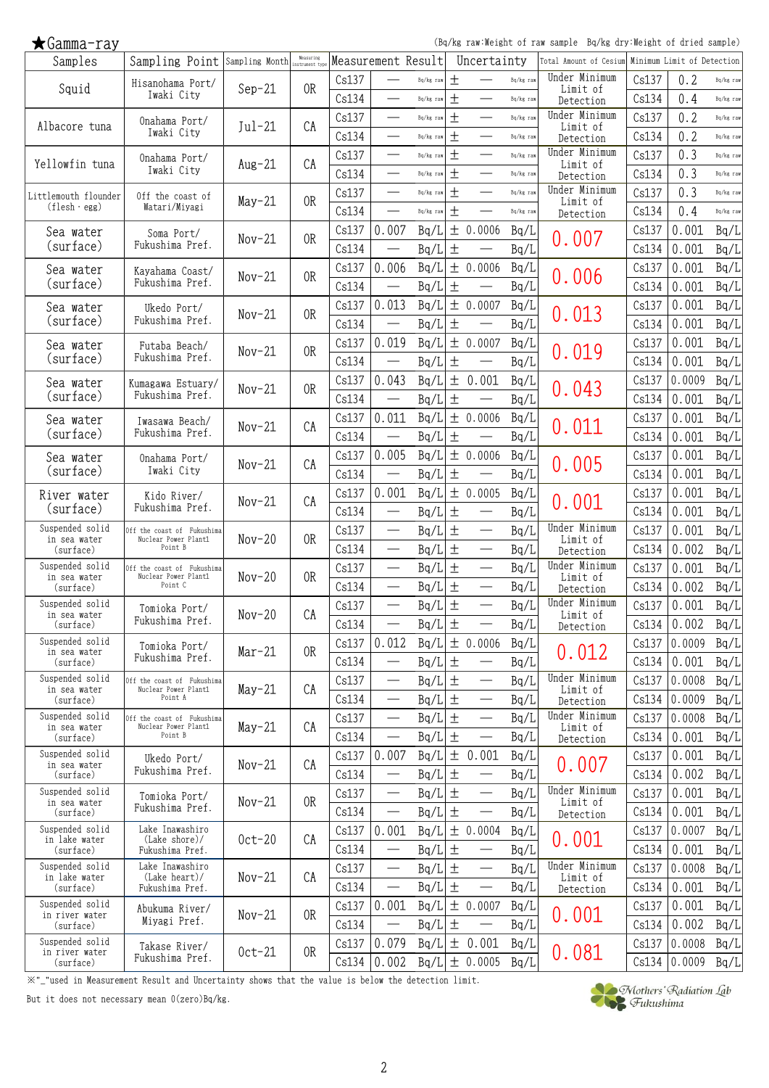(Bq/kg raw:Weight of raw sample Bq/kg dry:Weight of dried sample)

| Samples                         | Sampling Point Sampling Month Measuring            |          | Measuring      |       |                                   | Measurement Result |       | Uncertainty                       |           | Total Amount of Cesium Minimum Limit of Detection |       |        |           |
|---------------------------------|----------------------------------------------------|----------|----------------|-------|-----------------------------------|--------------------|-------|-----------------------------------|-----------|---------------------------------------------------|-------|--------|-----------|
| Squid                           | Hisanohama Port/                                   | $Sep-21$ | 0R             | Cs137 |                                   | Bq/kg raw          | 土     |                                   | Bq/kg raw | Under Minimum<br>Limit of                         | Cs137 | 0.2    | Bq/kg raw |
|                                 | Iwaki City                                         |          |                | Cs134 |                                   | Bq/kg raw          | $\pm$ | $\overbrace{\phantom{13333}}$     | Bq/kg raw | Detection                                         | Cs134 | 0.4    | Bq/kg raw |
|                                 | Onahama Port/                                      |          |                | Cs137 |                                   | Bq/kg raw          | $\pm$ | $\overline{\phantom{0}}$          | Bq/kg raw | Under Minimum                                     | Cs137 | 0.2    | Bq/kg raw |
| Albacore tuna                   | Iwaki City                                         | $Jul-21$ | CA             | Cs134 |                                   | Bq/kg raw          | $\pm$ | $\overbrace{\phantom{13333}}$     | Bq/kg raw | Limit of<br>Detection                             | Cs134 | 0.2    | Bq/kg raw |
|                                 | Onahama Port/                                      |          |                | Cs137 |                                   | Bq/kg raw          | $\pm$ |                                   | Bq/kg raw | Under Minimum                                     | Cs137 | 0.3    | Bq/kg raw |
| Yellowfin tuna                  | Iwaki City                                         | $Aug-21$ | CA             | Cs134 |                                   | Bq/kg raw          | $\pm$ |                                   | Bq/kg raw | Limit of<br>Detection                             | Cs134 | 0.3    | Bq/kg raw |
| Littlemouth flounder            | Off the coast of                                   |          |                | Cs137 |                                   | Bq/kg raw          | $\pm$ |                                   | Bq/kg raw | Under Minimum                                     | Cs137 | 0.3    | Bq/kg raw |
| $(flesh \cdot egg)$             | Watari/Miyagi                                      | $May-21$ | 0R             | Cs134 | $\overline{\phantom{0}}$          | Bq/kg raw          | $\pm$ | $\overline{\phantom{0}}$          | Bq/kg raw | Limit of<br>Detection                             | Cs134 | 0.4    | Bq/kg raw |
| Sea water                       | Soma Port/                                         |          |                | Cs137 | 0.007                             | Bq/L               |       | ± 0.0006                          | Bq/L      |                                                   | Cs137 | 0.001  | Bq/L      |
| (surface)                       | Fukushima Pref.                                    | $Nov-21$ | 0R             | Cs134 |                                   | Bq/L               | $\pm$ |                                   | Bq/L      | 0.007                                             | Cs134 | 0.001  | Bq/L      |
| Sea water                       | Kayahama Coast/                                    |          |                | Cs137 | 0.006                             | Bq/L               |       | ± 0.0006                          | Bq/L      |                                                   | Cs137 | 0.001  | Bq/L      |
| (surface)                       | Fukushima Pref.                                    | $Nov-21$ | 0 <sub>R</sub> | Cs134 |                                   | Bq/L               | $\pm$ | $\overbrace{\phantom{123221111}}$ | Bq/L      | 0.006                                             | Cs134 | 0.001  | Bq/L      |
| Sea water                       |                                                    |          |                | Cs137 | 0.013                             | Bq/L               | 土     | 0.0007                            | Bq/L      |                                                   | Cs137 | 0.001  | Bq/L      |
| (surface)                       | Ukedo Port/<br>Fukushima Pref.                     | $Nov-21$ | 0R             | Cs134 | $\overline{\phantom{0}}$          | Bq/L               | $\pm$ |                                   | Bq/L      | 0.013                                             | Cs134 | 0.001  | Bq/L      |
|                                 |                                                    |          |                | Cs137 | 0.019                             | Bq/L               |       | ± 0.0007                          | Bq/L      |                                                   | Cs137 | 0.001  | Bq/L      |
| Sea water<br>(surface)          | Futaba Beach/<br>Fukushima Pref.                   | $Nov-21$ | 0R             | Cs134 | $\frac{1}{2}$                     | Bq/L               | $\pm$ |                                   | Bq/L      | 0.019                                             | Cs134 | 0.001  | Bq/L      |
|                                 |                                                    |          |                | Cs137 | 0.043                             | Bq/L               |       | ± 0.001                           | Bq/L      |                                                   | Cs137 | 0.0009 | Bq/L      |
| Sea water<br>(surface)          | Kumagawa Estuary/<br>Fukushima Pref.               | $Nov-21$ | 0R             | Cs134 |                                   |                    | $\pm$ |                                   |           | 0.043                                             | Cs134 | 0.001  |           |
|                                 |                                                    |          |                |       | 0.011                             | Bq/L               |       | ± 0.0006                          | Bq/L      |                                                   |       | 0.001  | Bq/L      |
| Sea water<br>(surface)          | Iwasawa Beach/<br>Fukushima Pref.                  | $Nov-21$ | CA             | Cs137 |                                   | Bq/L               |       |                                   | Bq/L      | 0.011                                             | Cs137 |        | Bq/L      |
|                                 |                                                    |          |                | Cs134 |                                   | Bq/L               | $\pm$ |                                   | Bq/L      |                                                   | Cs134 | 0.001  | Bq/L      |
| Sea water<br>(surface)          | Onahama Port/<br>Iwaki City                        | $Nov-21$ | CA             | Cs137 | 0.005                             | Bq/L               |       | ± 0.0006                          | Bq/L      | 0.005                                             | Cs137 | 0.001  | Bq/L      |
|                                 |                                                    |          |                | Cs134 | $\overline{\phantom{0}}$          | Bq/L               | $\pm$ |                                   | Bq/L      |                                                   | Cs134 | 0.001  | Bq/L      |
| River water                     | Kido River/<br>Fukushima Pref.                     | $Nov-21$ | CA             | Cs137 | 0.001                             | Bq/I               |       | ± 0.0005                          | Bq/L      | 0.001                                             | Cs137 | 0.001  | Bq/L      |
| (surface)                       |                                                    |          |                | Cs134 |                                   | Bq/L               | $\pm$ | $\overbrace{\phantom{123221111}}$ | Bq/L      |                                                   | Cs134 | 0.001  | Bq/L      |
| Suspended solid<br>in sea water | Off the coast of Fukushima<br>Nuclear Power Plant1 | $Nov-20$ | 0R             | Cs137 |                                   | Bq/L               | $\pm$ |                                   | Bq/L      | Under Minimum<br>Limit of                         | Cs137 | 0.001  | Bq/L      |
| (surface)                       | Point B                                            |          |                | Cs134 |                                   | Bq/L               | $\pm$ | $\overbrace{\phantom{13333}}$     | Bq/L      | Detection                                         | Cs134 | 0.002  | Bq/L      |
| Suspended solid<br>in sea water | Off the coast of Fukushima<br>Nuclear Power Plant1 | $Nov-20$ | 0R             | Cs137 |                                   | Bq/L               | $\pm$ |                                   | Bq/L      | Under Minimum<br>Limit of                         | Cs137 | 0.001  | Bq/L      |
| (surface)                       | Point C                                            |          |                | Cs134 |                                   | Bq/L               | $\pm$ |                                   | Bq/L      | Detection                                         | Cs134 | 0.002  | Bq/L      |
| Suspended solid<br>in sea water | Tomioka Port/                                      | $Nov-20$ | CA             | Cs137 |                                   | Bq/L               | $\pm$ |                                   | Bq/L      | Under Minimum<br>Limit of                         | Cs137 | 0.001  | Bq/L      |
| (surface)                       | Fukushima Pref.                                    |          |                | Cs134 | $\overline{\phantom{0}}$          | Bq/L               | $\pm$ | $\overline{\phantom{0}}$          | Bq/L      | Detection                                         | Cs134 | 0.002  | Bq/L      |
| Suspended solid<br>in sea water | Tomioka Port/                                      | $Mar-21$ | 0R             | Cs137 | 0.012                             | Bq/L               |       | ± 0.0006                          | Bq/L      | 0.012                                             | Cs137 | 0.0009 | Bq/L      |
| (surface)                       | Fukushima Pref.                                    |          |                | Cs134 | $\overline{\phantom{0}}$          | Bq/L               | $\pm$ | $\overline{\phantom{0}}$          | Bq/L      |                                                   | Cs134 | 0.001  | Bq/L      |
| Suspended solid<br>in sea water | Off the coast of Fukushima<br>Nuclear Power Plant1 | $May-21$ | CA             | Cs137 |                                   | Bq/L               | 土     |                                   | Bq/L      | Under Minimum<br>Limit of                         | Cs137 | 0.0008 | Bq/L      |
| (surface)                       | Point A                                            |          |                | Cs134 |                                   | Bq/L               | $\pm$ |                                   | Bq/L      | Detection                                         | Cs134 | 0.0009 | Bq/L      |
| Suspended solid<br>in sea water | Off the coast of Fukushima<br>Nuclear Power Plant1 | $May-21$ | CA             | Cs137 | $\overbrace{\phantom{123221111}}$ | Bq/L               | $\pm$ | $\overline{\phantom{m}}$          | Bq/L      | Under Minimum<br>Limit of                         | Cs137 | 0.0008 | Bq/L      |
| (surface)                       | Point B                                            |          |                | Cs134 |                                   | Bq/L               | $\pm$ | $\overbrace{\phantom{12322111}}$  | Bq/L      | Detection                                         | Cs134 | 0.001  | Bq/L      |
| Suspended solid<br>in sea water | Ukedo Port/                                        | $Nov-21$ | CA             | Cs137 | 0.007                             | Bq/L               |       | ± 0.001                           | Bq/L      |                                                   | Cs137 | 0.001  | Bq/L      |
| (surface)                       | Fukushima Pref.                                    |          |                | Cs134 |                                   | Bq/L               | $\pm$ |                                   | Bq/L      | 0.007                                             | Cs134 | 0.002  | Bq/L      |
| Suspended solid                 | Tomioka Port/                                      |          |                | Cs137 |                                   | Bq/L               | $\pm$ |                                   | Bq/L      | Under Minimum                                     | Cs137 | 0.001  | Bq/L      |
| in sea water<br>(surface)       | Fukushima Pref.                                    | $Nov-21$ | 0R             | Cs134 | $\overline{\phantom{0}}$          | Bq/L               | $\pm$ |                                   | Bq/L      | Limit of<br>Detection                             | Cs134 | 0.001  | Bq/L      |
| Suspended solid                 | Lake Inawashiro                                    |          |                | Cs137 | 0.001                             | Bq/L               |       | ± 0.0004                          | Bq/L      |                                                   | Cs137 | 0.0007 | Bq/L      |
| in lake water<br>(surface)      | $(Lake \; shore) /$<br>Fukushima Pref.             | $0ct-20$ | CA             | Cs134 |                                   | Bq/L               | 土     | $\overline{\phantom{m}}$          | Bq/L      | 0.001                                             | Cs134 | 0.001  | Bq/L      |
| Suspended solid                 | Lake Inawashiro                                    |          |                | Cs137 |                                   | Bq/L               | $\pm$ | $\overbrace{\phantom{12322111}}$  | Bq/L      | Under Minimum                                     | Cs137 | 0.0008 | Bq/L      |
| in lake water<br>(surface)      | (Lake heart)/<br>Fukushima Pref.                   | $Nov-21$ | CA             | Cs134 |                                   | Bq/L               | $\pm$ |                                   | Bq/L      | Limit of<br>Detection                             | Cs134 | 0.001  | Bq/L      |
| Suspended solid                 | Abukuma River/                                     |          |                | Cs137 | 0.001                             | Bq/L               |       | ± 0.0007                          | Bq/L      |                                                   | Cs137 | 0.001  | Bq/L      |
| in river water<br>(surface)     | Miyagi Pref.                                       | $Nov-21$ | 0R             | Cs134 |                                   | Bq/L               | $\pm$ |                                   | Bq/L      | 0.001                                             | Cs134 | 0.002  | Bq/L      |
| Suspended solid                 | Takase River/                                      |          |                | Cs137 | 0.079                             | Bq/L               |       | ± 0.001                           | Bq/L      |                                                   | Cs137 | 0.0008 | Bq/L      |
| in river water<br>(surface)     | Fukushima Pref.                                    | $0ct-21$ | 0R             | Cs134 | 0.002                             | Bq/L               |       | ± 0.0005                          | Bq/L      | 0.081                                             | Cs134 | 0.0009 | Bq/L      |
|                                 |                                                    |          |                |       |                                   |                    |       |                                   |           |                                                   |       |        |           |

※"\_"used in Measurement Result and Uncertainty shows that the value is below the detection limit.

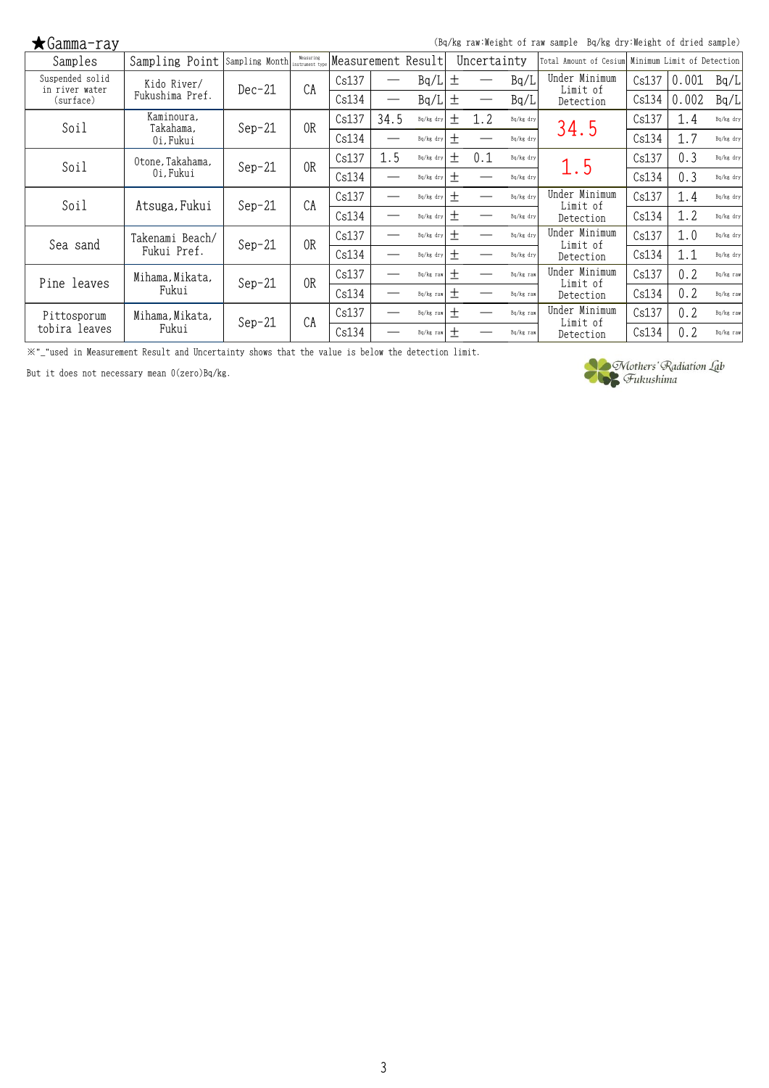(Bq/kg raw:Weight of raw sample Bq/kg dry:Weight of dried sample)

| Samples                           | Sampling Point          | Sampling Month Measuring |                | Measurement Result |      |           |       | Uncertainty |           | Total Amount of Cesium    |       | Minimum Limit of Detection |             |
|-----------------------------------|-------------------------|--------------------------|----------------|--------------------|------|-----------|-------|-------------|-----------|---------------------------|-------|----------------------------|-------------|
| Suspended solid<br>in river water | Kido River/             | $Dec-21$                 | CA             | Cs137              |      | Bq/L      | 土     |             | Bq/L      | Under Minimum<br>Limit of | Cs137 | 0.001                      | Bq/L        |
| (surface)                         | Fukushima Pref.         |                          |                | Cs134              |      | Bq/L      | 土     |             | Bq/L      | Detection                 | Cs134 | 0.002                      | Bq/L        |
| Soil                              | Kaminoura,<br>Takahama, | $Sep-21$                 | 0 <sub>R</sub> | Cs137              | 34.5 | Bq/kg dry | 土     | 1.2         | Bq/kg dry | 34.5                      | Cs137 | 1.4                        | Bq/kg dry   |
|                                   | Oi, Fukui               |                          |                | Cs134              |      | Bq/kg dry | 土     |             | Bq/kg dry |                           | Cs134 | 1.7                        | $Bq/kg$ dry |
| Soil                              | Otone, Takahama,        | $Sep-21$                 | 0 <sub>R</sub> | Cs137              | 1.5  | Bq/kg dry | 土     | 0.1         | Bq/kg dry | 1.5                       | Cs137 | 0.3                        | $Bq/kg$ dry |
|                                   | Oi, Fukui               |                          |                | Cs134              |      | Bq/kg dry | 士     |             | Bq/kg dry |                           | Cs134 | 0.3                        | $Bq/kg$ dry |
| Soil                              | Atsuga, Fukui           | $Sep-21$                 | CA             | Cs137              |      | Bq/kg dry | 土     |             | Bq/kg dry | Under Minimum<br>Limit of | Cs137 | 1.4                        | $Bq/kg$ dry |
|                                   |                         |                          |                | Cs134              |      | Bq/kg dry | $\pm$ |             | Bq/kg dry | Detection                 | Cs134 | 1.2                        | $Bq/kg$ dry |
| Sea sand                          | Takenami Beach/         | $Sep-21$                 | 0 <sub>R</sub> | Cs137              |      | Bq/kg dry | 土     |             | Bq/kg dry | Under Minimum<br>Limit of | Cs137 | 1.0                        | $Bq/kg$ dry |
|                                   | Fukui Pref.             |                          |                | Cs134              |      | Bq/kg dry | $\pm$ |             | Bq/kg dry | Detection                 | Cs134 | 1.1                        | $Bq/kg$ dry |
| Pine leaves                       | Mihama, Mikata,         | $Sep-21$                 | 0 <sub>R</sub> | Cs137              |      | Bq/kg raw | 土     |             | Bq/kg raw | Under Minimum<br>Limit of | Cs137 | 0.2                        | Ba/kg raw   |
|                                   | Fukui                   |                          |                | Cs134              |      | Bq/kg raw | $\pm$ |             | Bq/kg raw | Detection                 | Cs134 | 0.2                        | Ba/kg raw   |
| Pittosporum                       | Mihama, Mikata,         | $Sep-21$                 | CA             | Cs137              |      | Bq/kg raw | 土     |             | Bq/kg raw | Under Minimum<br>Limit of | Cs137 | 0.2                        | Bq/kg raw   |
| tobira leaves                     | Fukui                   |                          |                | Cs134              |      | Bq/kg raw | 土     |             | Bq/kg raw | Detection                 | Cs134 | 0.2                        | Bq/kg raw   |

※"\_"used in Measurement Result and Uncertainty shows that the value is below the detection limit.

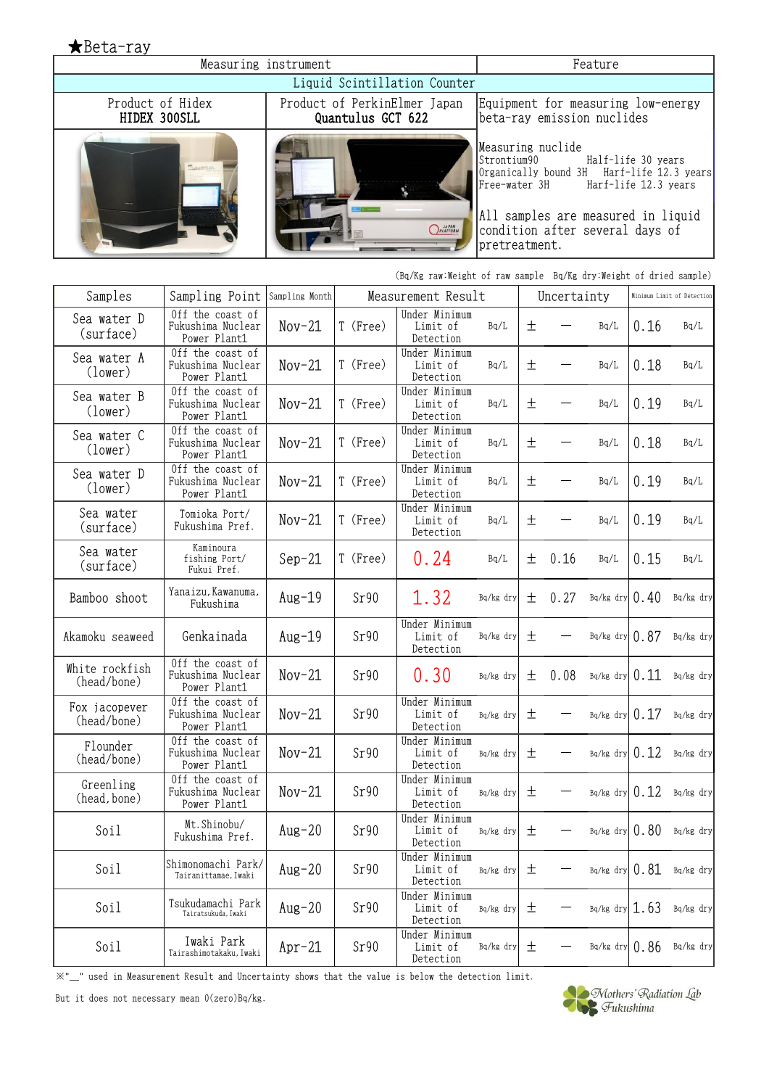| ★Bet <u>a-ray</u>                |                                                       |                |                   |                                                                   |                                                                    |       |             |                                                                                                                                                                  |      |                            |  |  |
|----------------------------------|-------------------------------------------------------|----------------|-------------------|-------------------------------------------------------------------|--------------------------------------------------------------------|-------|-------------|------------------------------------------------------------------------------------------------------------------------------------------------------------------|------|----------------------------|--|--|
|                                  | Measuring instrument                                  |                | Feature           |                                                                   |                                                                    |       |             |                                                                                                                                                                  |      |                            |  |  |
|                                  |                                                       |                |                   | Liquid Scintillation Counter                                      |                                                                    |       |             |                                                                                                                                                                  |      |                            |  |  |
| Product of Hidex<br>HIDEX 300SLL |                                                       |                | Quantulus GCT 622 | Product of PerkinElmer Japan                                      |                                                                    |       |             | Equipment for measuring low-energy<br>beta-ray emission nuclides                                                                                                 |      |                            |  |  |
|                                  |                                                       |                |                   | PLATFORM                                                          | Measuring nuclide<br>Strontium90<br>Free-water 3H<br>pretreatment. |       |             | Half-life 30 years<br>Organically bound 3H Harf-life 12.3 years<br>Harf-life 12.3 years<br>All samples are measured in liquid<br>condition after several days of |      |                            |  |  |
|                                  |                                                       |                |                   | (Bq/Kg raw:Weight of raw sample Bq/Kg dry:Weight of dried sample) |                                                                    |       |             |                                                                                                                                                                  |      |                            |  |  |
| Samples                          | Sampling Point                                        | Sampling Month |                   | Measurement Result                                                |                                                                    |       | Uncertainty |                                                                                                                                                                  |      | Minimum Limit of Detection |  |  |
| Sea water D<br>(surface)         | Off the coast of<br>Fukushima Nuclear<br>Power Plant1 | $Nov-21$       | T (Free)          | Under Minimum<br>Limit of<br>Detection                            | Bq/L                                                               | 土     |             | Bq/L                                                                                                                                                             | 0.16 | Bq/L                       |  |  |
| Sea water A<br>(lower)           | Off the coast of<br>Fukushima Nuclear<br>Power Plant1 | $Nov-21$       | T (Free)          | Under Minimum<br>Limit of<br>Detection                            | Bq/L                                                               | 土     |             | Bq/L                                                                                                                                                             | 0.18 | Bq/L                       |  |  |
| Sea water B<br>(lower)           | Off the coast of<br>Fukushima Nuclear<br>Power Plant1 | $Nov-21$       | T (Free)          | Under Minimum<br>Limit of<br>Detection                            | Bq/L                                                               | 土     |             | Bq/L                                                                                                                                                             | 0.19 | Bq/L                       |  |  |
| Sea water C<br>(lower)           | Off the coast of<br>Fukushima Nuclear<br>Power Plant1 | $Nov-21$       | T (Free)          | Under Minimum<br>Limit of<br>Detection                            | Bq/L                                                               | 土     |             | Bq/L                                                                                                                                                             | 0.18 | Bq/L                       |  |  |
| Sea water D<br>(lower)           | Off the coast of<br>Fukushima Nuclear<br>Power Plant1 | $Nov-21$       | T (Free)          | Under Minimum<br>Limit of<br>Detection                            | Bq/L                                                               | 土     |             | Bq/L                                                                                                                                                             | 0.19 | Bq/L                       |  |  |
| Sea water<br>(surface)           | Tomioka Port/<br>Fukushima Pref.                      | $Nov-21$       | T (Free)          | Under Minimum<br>Limit of<br>Detection                            | Bq/L                                                               | 土     |             | Bq/L                                                                                                                                                             | 0.19 | Bq/L                       |  |  |
| Sea water<br>(surface)           | Kaminoura<br>fishing Port/<br>Fukui Pref.             | $Sep-21$       | T (Free)          | 0.24                                                              | Bq/L                                                               | 土     | 0.16        | Bq/L                                                                                                                                                             | 0.15 | Bq/L                       |  |  |
| Bamboo shoot                     | Yanaizu, Kawanuma,<br>Fukushima                       | $Aug-19$       | Sr90              | 1.32                                                              | Bq/kg dry                                                          | 土     | 0.27        | Bq/kg dry $0.40$                                                                                                                                                 |      | Bq/kg dry                  |  |  |
| Akamoku seaweed                  | Genkainada                                            | $Aug-19$       | Sr90              | Under Minimum<br>Limit of<br>Detection                            | Bq/kg dry                                                          | $\pm$ |             | Bq/kg dry $\vert 0.87 \vert$                                                                                                                                     |      | Bq/kg dry                  |  |  |
| White rockfish<br>(head/bone)    | Off the coast of<br>Fukushima Nuclear<br>Power Plant1 | $Nov-21$       | Sr90              | 0.30                                                              | Bq/kg dry                                                          | 土     | 0.08        | Bq/kg dry                                                                                                                                                        | 0.11 | Bq/kg dry                  |  |  |
| Fox jacopever<br>(head/bone)     | Off the coast of<br>Fukushima Nuclear<br>Power Plant1 | $Nov-21$       | Sr90              | Under Minimum<br>Limit of<br>Detection                            | Bq/kg dry                                                          | 土     |             | Bq/kg dry                                                                                                                                                        | 0.17 | Bq/kg dry                  |  |  |
| Flounder<br>(head/bone)          | Off the coast of<br>Fukushima Nuclear<br>Power Plant1 | $Nov-21$       | Sr90              | Under Minimum<br>Limit of<br>Detection                            | Bq/kg dry                                                          | 土     |             | Bq/kg dry                                                                                                                                                        | 0.12 | Bq/kg dry                  |  |  |
| Greenling<br>(head, bone)        | Off the coast of<br>Fukushima Nuclear<br>Power Plant1 | $Nov-21$       | Sr90              | Under Minimum<br>Limit of<br>Detection                            | Bq/kg dry                                                          | 土     |             | Bq/kg dry                                                                                                                                                        | 0.12 | Bq/kg dry                  |  |  |
| Soil                             | Mt. Shinobu/<br>Fukushima Pref.                       | $Aug-20$       | Sr90              | Under Minimum<br>Limit of<br>Detection                            | Bq/kg dry                                                          | 土     |             | Bq/kg dry                                                                                                                                                        | 0.80 | Bq/kg dry                  |  |  |
| Soil                             | Shimonomachi Park/<br>Tairanittamae, Iwaki            | $Aug-20$       | Sr90              | Under Minimum<br>Limit of<br>Detection                            | Bq/kg dry                                                          | 土     |             | Bq/kg dry                                                                                                                                                        | 0.81 | Bq/kg dry                  |  |  |
| Soil                             | Tsukudamachi Park<br>Tairatsukuda, Iwaki              | $Aug-20$       | Sr90              | Under Minimum<br>Limit of<br>Detection                            | Bq/kg dry                                                          | 土     |             | $Bq/kg$ dry 1.63                                                                                                                                                 |      | Bq/kg dry                  |  |  |
| Soil                             | Iwaki Park<br>Tairashimotakaku, Iwaki                 | $Apr-21$       | Sr90              | Under Minimum<br>Limit of<br>Detection                            | Bq/kg dry                                                          | 土     |             | Bq/kg dry $0.86$                                                                                                                                                 |      | Bq/kg dry                  |  |  |

 $\mathbb{X}^{*}-$  used in Measurement Result and Uncertainty shows that the value is below the detection limit.

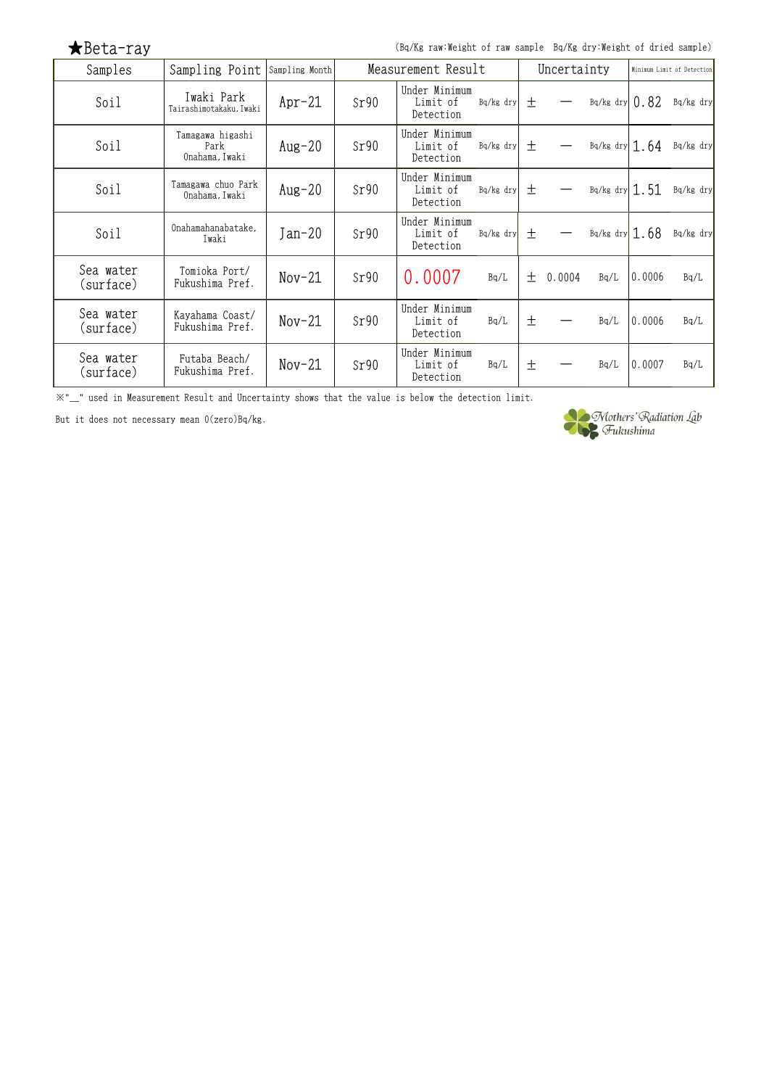| $\bigstar$ Beta-ray    |                                            | (Bq/Kg raw:Weight of raw sample Bq/Kg dry:Weight of dried sample) |      |                                        |             |        |        |                            |        |           |
|------------------------|--------------------------------------------|-------------------------------------------------------------------|------|----------------------------------------|-------------|--------|--------|----------------------------|--------|-----------|
| Samples                | Sampling Point                             | Sampling Month                                                    |      | Measurement Result                     | Uncertainty |        |        | Minimum Limit of Detection |        |           |
| Soil                   | Iwaki Park<br>Tairashimotakaku, Iwaki      | $Apr-21$                                                          | Sr90 | Under Minimum<br>Limit of<br>Detection | Bq/kg dry   | $\pm$  |        | $Bq/kg$ dry $0.82$         |        | Bq/kg dry |
| Soil                   | Tamagawa higashi<br>Park<br>Onahama, Iwaki | $Aug-20$                                                          | Sr90 | Under Minimum<br>Limit of<br>Detection | Bq/kg dry   | $\pm$  |        | Bq/kg dry $1.64$           |        | Bq/kg dry |
| Soil                   | Tamagawa chuo Park<br>Onahama, Iwaki       | Aug-20                                                            | Sr90 | Under Minimum<br>Limit of<br>Detection | Bq/kg dry   | 土      |        | $Bq/kg$ dry 1.51           |        | Bq/kg dry |
| Soil                   | Onahamahanabatake,<br>Iwaki                | $Jan-20$                                                          | Sr90 | Under Minimum<br>Limit of<br>Detection | $Bq/kg$ dry | $^{+}$ |        | Bq/kg dry $1.68$           |        | Bq/kg dry |
| Sea water<br>(surface) | Tomioka Port/<br>Fukushima Pref.           | $Nov-21$                                                          | Sr90 | 0.0007                                 | Bq/L        | $^{+}$ | 0.0004 | Bq/L                       | 0.0006 | Bq/L      |
| Sea water<br>(surface) | Kayahama Coast/<br>Fukushima Pref.         | $Nov-21$                                                          | Sr90 | Under Minimum<br>Limit of<br>Detection | Bq/L        | 土      |        | Bq/L                       | 0.0006 | Bq/L      |
| Sea water<br>(surface) | Futaba Beach/<br>Fukushima Pref.           | $Nov-21$                                                          | Sr90 | Under Minimum<br>Limit of<br>Detection | Bq/L        | 土      |        | Bq/L                       | 0.0007 | Bq/L      |

※"\_" used in Measurement Result and Uncertainty shows that the value is below the detection limit.